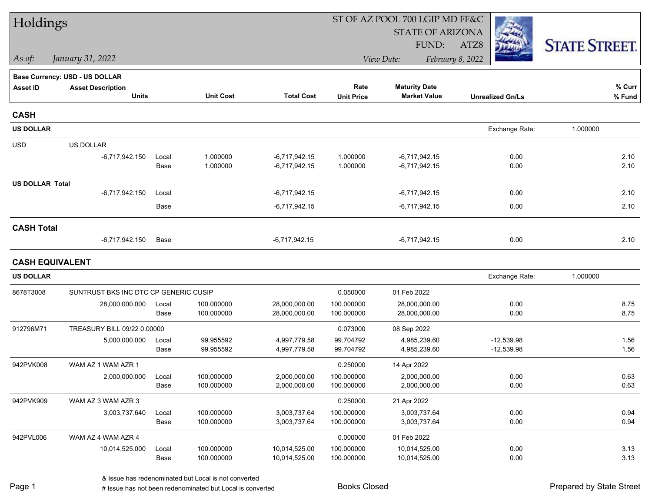| Holdings               |                                       |       |                  |                   |                   | ST OF AZ POOL 700 LGIP MD FF&C |                         |                      |
|------------------------|---------------------------------------|-------|------------------|-------------------|-------------------|--------------------------------|-------------------------|----------------------|
|                        |                                       |       |                  |                   |                   | <b>STATE OF ARIZONA</b>        |                         |                      |
|                        |                                       |       |                  |                   |                   | FUND:                          | ATZ8                    | <b>STATE STREET.</b> |
| As of:                 | January 31, 2022                      |       |                  |                   |                   | View Date:                     | February 8, 2022        |                      |
|                        | <b>Base Currency: USD - US DOLLAR</b> |       |                  |                   |                   |                                |                         |                      |
| <b>Asset ID</b>        | <b>Asset Description</b>              |       |                  |                   | Rate              | <b>Maturity Date</b>           |                         | % Curr               |
|                        | <b>Units</b>                          |       | <b>Unit Cost</b> | <b>Total Cost</b> | <b>Unit Price</b> | <b>Market Value</b>            | <b>Unrealized Gn/Ls</b> | $%$ Fund             |
| <b>CASH</b>            |                                       |       |                  |                   |                   |                                |                         |                      |
| <b>US DOLLAR</b>       |                                       |       |                  |                   |                   |                                | Exchange Rate:          | 1.000000             |
| <b>USD</b>             | US DOLLAR                             |       |                  |                   |                   |                                |                         |                      |
|                        | $-6,717,942.150$                      | Local | 1.000000         | $-6,717,942.15$   | 1.000000          | $-6,717,942.15$                | 0.00                    | 2.10                 |
|                        |                                       | Base  | 1.000000         | $-6,717,942.15$   | 1.000000          | $-6,717,942.15$                | 0.00                    | 2.10                 |
| <b>US DOLLAR Total</b> |                                       |       |                  |                   |                   |                                |                         |                      |
|                        | $-6,717,942.150$                      | Local |                  | $-6,717,942.15$   |                   | $-6,717,942.15$                | 0.00                    | 2.10                 |
|                        |                                       | Base  |                  | $-6,717,942.15$   |                   | $-6,717,942.15$                | 0.00                    | 2.10                 |
| <b>CASH Total</b>      |                                       |       |                  |                   |                   |                                |                         |                      |
|                        | $-6,717,942.150$                      | Base  |                  | $-6,717,942.15$   |                   | $-6,717,942.15$                | 0.00                    | 2.10                 |
| <b>CASH EQUIVALENT</b> |                                       |       |                  |                   |                   |                                |                         |                      |
| <b>US DOLLAR</b>       |                                       |       |                  |                   |                   |                                | Exchange Rate:          | 1.000000             |
| 8678T3008              | SUNTRUST BKS INC DTC CP GENERIC CUSIP |       |                  |                   | 0.050000          | 01 Feb 2022                    |                         |                      |
|                        | 28,000,000.000                        | Local | 100.000000       | 28,000,000.00     | 100.000000        | 28,000,000.00                  | 0.00                    | 8.75                 |
|                        |                                       | Base  | 100.000000       | 28,000,000.00     | 100.000000        | 28,000,000.00                  | 0.00                    | 8.75                 |
| 912796M71              | TREASURY BILL 09/22 0.00000           |       |                  |                   | 0.073000          | 08 Sep 2022                    |                         |                      |
|                        | 5,000,000.000                         | Local | 99.955592        | 4,997,779.58      | 99.704792         | 4,985,239.60                   | $-12,539.98$            | 1.56                 |
|                        |                                       | Base  | 99.955592        | 4,997,779.58      | 99.704792         | 4,985,239.60                   | $-12,539.98$            | 1.56                 |
| 942PVK008              | WAM AZ 1 WAM AZR 1                    |       |                  |                   | 0.250000          | 14 Apr 2022                    |                         |                      |
|                        | 2,000,000.000                         | Local | 100.000000       | 2,000,000.00      | 100.000000        | 2,000,000.00                   | 0.00                    | 0.63                 |
|                        |                                       | Base  | 100.000000       | 2,000,000.00      | 100.000000        | 2,000,000.00                   | 0.00                    | 0.63                 |
| 942PVK909              | WAM AZ 3 WAM AZR 3                    |       |                  |                   | 0.250000          | 21 Apr 2022                    |                         |                      |
|                        | 3,003,737.640                         | Local | 100.000000       | 3,003,737.64      | 100.000000        | 3,003,737.64                   | 0.00                    | 0.94                 |
|                        |                                       | Base  | 100.000000       | 3,003,737.64      | 100.000000        | 3,003,737.64                   | 0.00                    | 0.94                 |
| 942PVL006              | WAM AZ 4 WAM AZR 4                    |       |                  |                   | 0.000000          | 01 Feb 2022                    |                         |                      |
|                        | 10,014,525.000                        | Local | 100.000000       | 10,014,525.00     | 100.000000        | 10,014,525.00                  | 0.00                    | 3.13                 |
|                        |                                       | Base  | 100.000000       | 10,014,525.00     | 100.000000        | 10,014,525.00                  | 0.00                    | 3.13                 |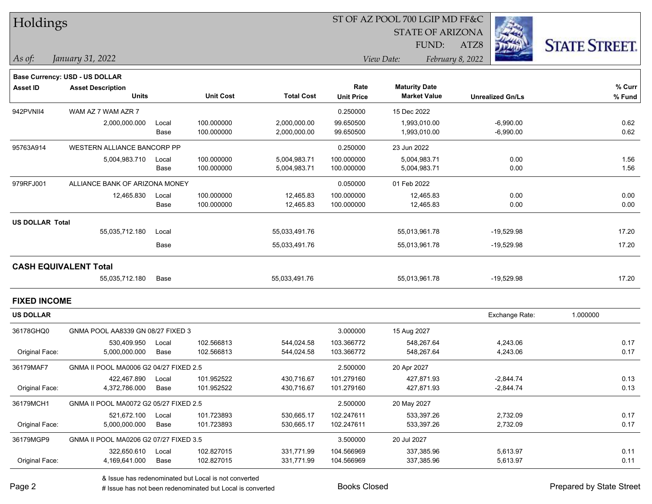| Holdings               |                                          |       |                  |                   |                           | ST OF AZ POOL 700 LGIP MD FF&C              |                         |                      |
|------------------------|------------------------------------------|-------|------------------|-------------------|---------------------------|---------------------------------------------|-------------------------|----------------------|
|                        |                                          |       |                  |                   |                           | <b>STATE OF ARIZONA</b>                     |                         |                      |
|                        |                                          |       |                  |                   |                           | <b>FUND:</b>                                | ATZ8                    | <b>STATE STREET.</b> |
| As of:                 | January 31, 2022                         |       |                  |                   |                           | View Date:                                  | February 8, 2022        |                      |
|                        |                                          |       |                  |                   |                           |                                             |                         |                      |
|                        | Base Currency: USD - US DOLLAR           |       |                  |                   |                           |                                             |                         |                      |
| <b>Asset ID</b>        | <b>Asset Description</b><br><b>Units</b> |       | <b>Unit Cost</b> | <b>Total Cost</b> | Rate<br><b>Unit Price</b> | <b>Maturity Date</b><br><b>Market Value</b> | <b>Unrealized Gn/Ls</b> | % Curr               |
|                        |                                          |       |                  |                   |                           |                                             |                         | % Fund               |
| 942PVNII4              | WAM AZ 7 WAM AZR 7                       |       |                  |                   | 0.250000                  | 15 Dec 2022                                 |                         |                      |
|                        | 2,000,000.000                            | Local | 100.000000       | 2,000,000.00      | 99.650500                 | 1,993,010.00                                | $-6,990.00$             | 0.62                 |
|                        |                                          | Base  | 100.000000       | 2,000,000.00      | 99.650500                 | 1,993,010.00                                | $-6,990.00$             | 0.62                 |
| 95763A914              | WESTERN ALLIANCE BANCORP PP              |       |                  |                   | 0.250000                  | 23 Jun 2022                                 |                         |                      |
|                        | 5,004,983.710                            | Local | 100.000000       | 5,004,983.71      | 100.000000                | 5,004,983.71                                | 0.00                    | 1.56                 |
|                        |                                          | Base  | 100.000000       | 5,004,983.71      | 100.000000                | 5,004,983.71                                | 0.00                    | 1.56                 |
| 979RFJ001              | ALLIANCE BANK OF ARIZONA MONEY           |       |                  |                   | 0.050000                  | 01 Feb 2022                                 |                         |                      |
|                        | 12,465.830                               | Local | 100.000000       | 12,465.83         | 100.000000                | 12,465.83                                   | 0.00                    | 0.00                 |
|                        |                                          | Base  | 100.000000       | 12,465.83         | 100.000000                | 12,465.83                                   | 0.00                    | 0.00                 |
| <b>US DOLLAR Total</b> |                                          |       |                  |                   |                           |                                             |                         |                      |
|                        | 55,035,712.180                           | Local |                  | 55,033,491.76     |                           | 55,013,961.78                               | $-19,529.98$            | 17.20                |
|                        |                                          | Base  |                  | 55,033,491.76     |                           | 55,013,961.78                               | $-19,529.98$            | 17.20                |
|                        |                                          |       |                  |                   |                           |                                             |                         |                      |
|                        | <b>CASH EQUIVALENT Total</b>             |       |                  |                   |                           |                                             |                         |                      |
|                        | 55,035,712.180                           | Base  |                  | 55,033,491.76     |                           | 55,013,961.78                               | $-19,529.98$            | 17.20                |
|                        |                                          |       |                  |                   |                           |                                             |                         |                      |
| <b>FIXED INCOME</b>    |                                          |       |                  |                   |                           |                                             |                         |                      |
| <b>US DOLLAR</b>       |                                          |       |                  |                   |                           |                                             | Exchange Rate:          | 1.000000             |
| 36178GHQ0              | GNMA POOL AA8339 GN 08/27 FIXED 3        |       |                  |                   | 3.000000                  | 15 Aug 2027                                 |                         |                      |
|                        | 530,409.950                              | Local | 102.566813       | 544,024.58        | 103.366772                | 548,267.64                                  | 4,243.06                | 0.17                 |
| Original Face:         | 5,000,000.000                            | Base  | 102.566813       | 544,024.58        | 103.366772                | 548,267.64                                  | 4,243.06                | 0.17                 |
| 36179MAF7              | GNMA II POOL MA0006 G2 04/27 FIXED 2.5   |       |                  |                   | 2.500000                  | 20 Apr 2027                                 |                         |                      |
|                        | 422,467.890                              | Local | 101.952522       | 430,716.67        | 101.279160                | 427,871.93                                  | $-2,844.74$             | 0.13                 |
| Original Face:         | 4,372,786.000                            | Base  | 101.952522       | 430,716.67        | 101.279160                | 427,871.93                                  | $-2,844.74$             | 0.13                 |
| 36179MCH1              | GNMA II POOL MA0072 G2 05/27 FIXED 2.5   |       |                  |                   | 2.500000                  | 20 May 2027                                 |                         |                      |
|                        | 521,672.100                              | Local | 101.723893       | 530,665.17        | 102.247611                | 533,397.26                                  | 2,732.09                | 0.17                 |
| Original Face:         | 5,000,000.000                            | Base  | 101.723893       | 530,665.17        | 102.247611                | 533,397.26                                  | 2,732.09                | 0.17                 |
| 36179MGP9              | GNMA II POOL MA0206 G2 07/27 FIXED 3.5   |       |                  |                   | 3.500000                  | 20 Jul 2027                                 |                         |                      |
|                        | 322,650.610                              | Local | 102.827015       | 331,771.99        | 104.566969                | 337,385.96                                  | 5,613.97                | 0.11                 |
| Original Face:         | 4,169,641.000                            | Base  | 102.827015       | 331,771.99        | 104.566969                | 337,385.96                                  | 5,613.97                | 0.11                 |

# Issue has not been redenominated but Local is converted Books Closed Prepared by State Street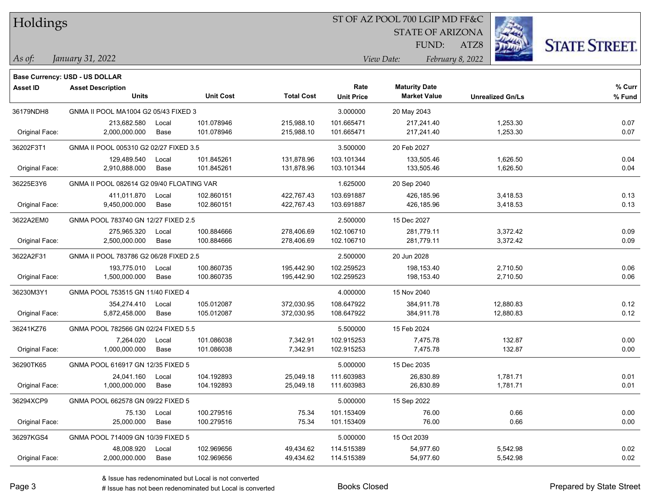| Holdings |
|----------|
|          |

## ST OF AZ POOL 700 LGIP MD FF&C

**Maturity Date**

STATE OF ARIZONA

ATZ8



**% Fund**

**% Curr**

*January 31, 2022 As of: View Date: February 8, 2022*

**Base Currency: USD - US DOLLAR**

FUND:

| 36179NDH8      | GNMA II POOL MA1004 G2 05/43 FIXED 3      |                                        |            |            | 3.000000   | 20 May 2043 |           |      |
|----------------|-------------------------------------------|----------------------------------------|------------|------------|------------|-------------|-----------|------|
|                | 213.682.580                               | Local                                  | 101.078946 | 215,988.10 | 101.665471 | 217,241.40  | 1,253.30  | 0.07 |
| Original Face: | 2,000,000.000                             | Base                                   | 101.078946 | 215,988.10 | 101.665471 | 217,241.40  | 1,253.30  | 0.07 |
| 36202F3T1      |                                           | GNMA II POOL 005310 G2 02/27 FIXED 3.5 |            |            | 3.500000   | 20 Feb 2027 |           |      |
|                | 129,489.540                               | Local                                  | 101.845261 | 131,878.96 | 103.101344 | 133,505.46  | 1,626.50  | 0.04 |
| Original Face: | 2,910,888.000                             | Base                                   | 101.845261 | 131,878.96 | 103.101344 | 133,505.46  | 1,626.50  | 0.04 |
| 36225E3Y6      | GNMA II POOL 082614 G2 09/40 FLOATING VAR |                                        |            |            | 1.625000   | 20 Sep 2040 |           |      |
|                | 411,011.870                               | Local                                  | 102.860151 | 422,767.43 | 103.691887 | 426,185.96  | 3,418.53  | 0.13 |
| Original Face: | 9,450,000.000                             | Base                                   | 102.860151 | 422,767.43 | 103.691887 | 426,185.96  | 3,418.53  | 0.13 |
| 3622A2EM0      | GNMA POOL 783740 GN 12/27 FIXED 2.5       |                                        |            |            | 2.500000   | 15 Dec 2027 |           |      |
|                | 275,965.320                               | Local                                  | 100.884666 | 278,406.69 | 102.106710 | 281,779.11  | 3,372.42  | 0.09 |
| Original Face: | 2.500.000.000                             | Base                                   | 100.884666 | 278,406.69 | 102.106710 | 281,779.11  | 3,372.42  | 0.09 |
| 3622A2F31      | GNMA II POOL 783786 G2 06/28 FIXED 2.5    |                                        |            |            | 2.500000   | 20 Jun 2028 |           |      |
|                | 193,775.010                               | Local                                  | 100.860735 | 195,442.90 | 102.259523 | 198,153.40  | 2,710.50  | 0.06 |
| Original Face: | 1,500,000.000                             | Base                                   | 100.860735 | 195,442.90 | 102.259523 | 198,153.40  | 2,710.50  | 0.06 |
| 36230M3Y1      | GNMA POOL 753515 GN 11/40 FIXED 4         |                                        |            |            | 4.000000   | 15 Nov 2040 |           |      |
|                | 354.274.410                               | Local                                  | 105.012087 | 372.030.95 | 108.647922 | 384.911.78  | 12,880.83 | 0.12 |
| Original Face: | 5,872,458.000                             | Base                                   | 105.012087 | 372,030.95 | 108.647922 | 384,911.78  | 12,880.83 | 0.12 |
| 36241KZ76      | GNMA POOL 782566 GN 02/24 FIXED 5.5       |                                        |            |            | 5.500000   | 15 Feb 2024 |           |      |
|                | 7.264.020                                 | Local                                  | 101.086038 | 7,342.91   | 102.915253 | 7,475.78    | 132.87    | 0.00 |
| Original Face: | 1,000,000.000                             | Base                                   | 101.086038 | 7,342.91   | 102.915253 | 7,475.78    | 132.87    | 0.00 |
| 36290TK65      | GNMA POOL 616917 GN 12/35 FIXED 5         |                                        |            |            | 5.000000   | 15 Dec 2035 |           |      |
|                | 24,041.160                                | Local                                  | 104.192893 | 25,049.18  | 111.603983 | 26,830.89   | 1,781.71  | 0.01 |
| Original Face: | 1,000,000.000                             | Base                                   | 104.192893 | 25,049.18  | 111.603983 | 26,830.89   | 1,781.71  | 0.01 |
| 36294XCP9      | GNMA POOL 662578 GN 09/22 FIXED 5         |                                        |            |            | 5.000000   | 15 Sep 2022 |           |      |

Original Face: 25,000.000 Base 100.279516 75.34 101.153409 76.00 0.66 0.00

Original Face: 2,000,000.000 Base 102.969656 49,434.62 114.515389 54,977.60 5,542.98 0.02

**Units Unit Cost Total Cost Unit Price Market Value Unrealized Gn/Ls**

36297KGS4 GNMA POOL 714009 GN 10/39 FIXED 5 5.00000 5.000000 5.000000 15 Oct 2039

**Asset ID Asset Description Rate**

75.130 Local 100.279516 75.34 101.153409 76.00 0.66 0.00

48,008.920 Local 102.969656 49,434.62 114.515389 54,977.60 5,542.98 0.02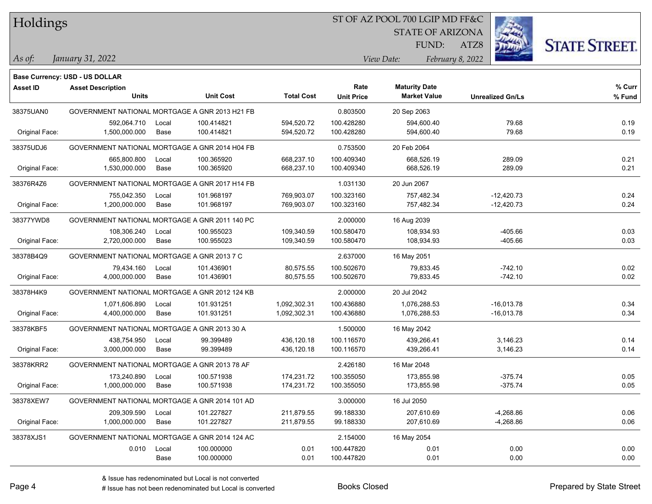Holdings

## ST OF AZ POOL 700 LGIP MD FF&C

**Units Unit Cost Total Cost Unit Price Market Value Unrealized Gn/Ls**

**Maturity Date**

STATE OF ARIZONA

ATZ8



**% Fund**

**% Curr**

*January 31, 2022 As of: View Date: February 8, 2022*

**Base Currency: USD - US DOLLAR**

FUND:

| 38375UAN0      | GOVERNMENT NATIONAL MORTGAGE A GNR 2013 H21 FB |       |            |              | 0.803500    | 20 Sep 2063  |              |      |
|----------------|------------------------------------------------|-------|------------|--------------|-------------|--------------|--------------|------|
|                | 592.064.710                                    | Local | 100.414821 | 594,520.72   | 100.428280  | 594,600.40   | 79.68        | 0.19 |
| Original Face: | 1,500,000.000                                  | Base  | 100.414821 | 594,520.72   | 100.428280  | 594,600.40   | 79.68        | 0.19 |
| 38375UDJ6      | GOVERNMENT NATIONAL MORTGAGE A GNR 2014 H04 FB |       |            |              | 0.753500    | 20 Feb 2064  |              |      |
|                | 665,800.800                                    | Local | 100.365920 | 668,237.10   | 100.409340  | 668,526.19   | 289.09       | 0.21 |
| Original Face: | 1,530,000.000                                  | Base  | 100.365920 | 668,237.10   | 100.409340  | 668,526.19   | 289.09       | 0.21 |
| 38376R4Z6      | GOVERNMENT NATIONAL MORTGAGE A GNR 2017 H14 FB |       |            |              | 1.031130    | 20 Jun 2067  |              |      |
|                | 755,042.350                                    | Local | 101.968197 | 769,903.07   | 100.323160  | 757,482.34   | $-12,420.73$ | 0.24 |
| Original Face: | 1,200,000.000                                  | Base  | 101.968197 | 769,903.07   | 100.323160  | 757,482.34   | $-12,420.73$ | 0.24 |
| 38377YWD8      | GOVERNMENT NATIONAL MORTGAGE A GNR 2011 140 PC |       |            | 2.000000     | 16 Aug 2039 |              |              |      |
|                | 108.306.240                                    | Local | 100.955023 | 109,340.59   | 100.580470  | 108,934.93   | $-405.66$    | 0.03 |
| Original Face: | 2,720,000.000                                  | Base  | 100.955023 | 109,340.59   | 100.580470  | 108,934.93   | $-405.66$    | 0.03 |
| 38378B4Q9      | GOVERNMENT NATIONAL MORTGAGE A GNR 2013 7 C    |       |            |              | 2.637000    | 16 May 2051  |              |      |
|                | 79,434.160                                     | Local | 101.436901 | 80,575.55    | 100.502670  | 79,833.45    | $-742.10$    | 0.02 |
| Original Face: | 4,000,000.000                                  | Base  | 101.436901 | 80,575.55    | 100.502670  | 79,833.45    | $-742.10$    | 0.02 |
| 38378H4K9      | GOVERNMENT NATIONAL MORTGAGE A GNR 2012 124 KB |       |            |              | 2.000000    | 20 Jul 2042  |              |      |
|                | 1,071,606.890                                  | Local | 101.931251 | 1,092,302.31 | 100.436880  | 1,076,288.53 | $-16,013.78$ | 0.34 |
| Original Face: | 4,400,000.000                                  | Base  | 101.931251 | 1,092,302.31 | 100.436880  | 1,076,288.53 | $-16,013.78$ | 0.34 |
| 38378KBF5      | GOVERNMENT NATIONAL MORTGAGE A GNR 2013 30 A   |       |            |              | 1.500000    | 16 May 2042  |              |      |
|                | 438,754.950                                    | Local | 99.399489  | 436,120.18   | 100.116570  | 439,266.41   | 3,146.23     | 0.14 |
| Original Face: | 3,000,000.000                                  | Base  | 99.399489  | 436,120.18   | 100.116570  | 439,266.41   | 3,146.23     | 0.14 |
| 38378KRR2      | GOVERNMENT NATIONAL MORTGAGE A GNR 2013 78 AF  |       |            |              | 2.426180    | 16 Mar 2048  |              |      |
|                | 173,240.890                                    | Local | 100.571938 | 174,231.72   | 100.355050  | 173,855.98   | $-375.74$    | 0.05 |
| Original Face: | 1,000,000.000                                  | Base  | 100.571938 | 174,231.72   | 100.355050  | 173,855.98   | $-375.74$    | 0.05 |
| 38378XEW7      | GOVERNMENT NATIONAL MORTGAGE A GNR 2014 101 AD |       |            |              | 3.000000    | 16 Jul 2050  |              |      |
|                |                                                |       |            |              |             |              |              |      |

| 38378XEW7      | GOVERNMENT NATIONAL MORTGAGE A GNR 2014 101 AD |       |            |            | 3.000000   | 16 Jul 2050 |           |      |
|----------------|------------------------------------------------|-------|------------|------------|------------|-------------|-----------|------|
|                | 209.309.590                                    | Local | 101.227827 | 211.879.55 | 99.188330  | 207,610.69  | -4,268.86 | 0.06 |
| Original Face: | 1,000,000.000                                  | Base  | 101.227827 | 211.879.55 | 99.188330  | 207.610.69  | -4,268.86 | 0.06 |
| 38378XJS1      | GOVERNMENT NATIONAL MORTGAGE A GNR 2014 124 AC |       |            |            | 2.154000   | 16 May 2054 |           |      |
|                | 0.010                                          | Local | 100.000000 | 0.01       | 100.447820 | 0.01        | 0.00      | 0.00 |
|                |                                                | Base  | 100.000000 | 0.01       | 100.447820 | 0.01        | 0.00      | 0.00 |
|                |                                                |       |            |            |            |             |           |      |

**Asset ID Asset Description Rate**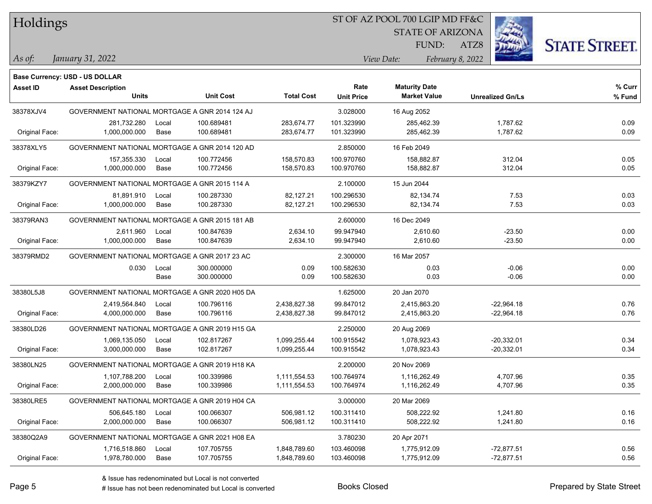|  |  | Holdings |
|--|--|----------|
|--|--|----------|

## ST OF AZ POOL 700 LGIP MD FF&C

STATE OF ARIZONA

ATZ8



*January 31, 2022 As of: View Date: February 8, 2022*

FUND:

|                 | <b>Base Currency: USD - US DOLLAR</b>          |       |                  |                   |                   |                      |                         |        |
|-----------------|------------------------------------------------|-------|------------------|-------------------|-------------------|----------------------|-------------------------|--------|
| <b>Asset ID</b> | <b>Asset Description</b>                       |       |                  |                   | Rate              | <b>Maturity Date</b> |                         | % Curr |
|                 | <b>Units</b>                                   |       | <b>Unit Cost</b> | <b>Total Cost</b> | <b>Unit Price</b> | <b>Market Value</b>  | <b>Unrealized Gn/Ls</b> | % Fund |
| 38378XJV4       | GOVERNMENT NATIONAL MORTGAGE A GNR 2014 124 AJ |       |                  |                   | 3.028000          | 16 Aug 2052          |                         |        |
|                 | 281,732.280                                    | Local | 100.689481       | 283,674.77        | 101.323990        | 285,462.39           | 1,787.62                | 0.09   |
| Original Face:  | 1,000,000.000                                  | Base  | 100.689481       | 283,674.77        | 101.323990        | 285,462.39           | 1,787.62                | 0.09   |
| 38378XLY5       | GOVERNMENT NATIONAL MORTGAGE A GNR 2014 120 AD |       |                  |                   | 2.850000          | 16 Feb 2049          |                         |        |
|                 | 157,355.330                                    | Local | 100.772456       | 158,570.83        | 100.970760        | 158,882.87           | 312.04                  | 0.05   |
| Original Face:  | 1,000,000.000                                  | Base  | 100.772456       | 158,570.83        | 100.970760        | 158,882.87           | 312.04                  | 0.05   |
| 38379KZY7       | GOVERNMENT NATIONAL MORTGAGE A GNR 2015 114 A  |       |                  |                   | 2.100000          | 15 Jun 2044          |                         |        |
|                 | 81,891.910                                     | Local | 100.287330       | 82,127.21         | 100.296530        | 82,134.74            | 7.53                    | 0.03   |
| Original Face:  | 1,000,000.000                                  | Base  | 100.287330       | 82,127.21         | 100.296530        | 82,134.74            | 7.53                    | 0.03   |
| 38379RAN3       | GOVERNMENT NATIONAL MORTGAGE A GNR 2015 181 AB |       |                  |                   | 2.600000          | 16 Dec 2049          |                         |        |
|                 | 2,611.960                                      | Local | 100.847639       | 2,634.10          | 99.947940         | 2,610.60             | $-23.50$                | 0.00   |
| Original Face:  | 1,000,000.000                                  | Base  | 100.847639       | 2,634.10          | 99.947940         | 2,610.60             | $-23.50$                | 0.00   |
| 38379RMD2       | GOVERNMENT NATIONAL MORTGAGE A GNR 2017 23 AC  |       |                  |                   | 2.300000          | 16 Mar 2057          |                         |        |
|                 | 0.030                                          | Local | 300.000000       | 0.09              | 100.582630        | 0.03                 | $-0.06$                 | 0.00   |
|                 |                                                | Base  | 300.000000       | 0.09              | 100.582630        | 0.03                 | $-0.06$                 | 0.00   |
| 38380L5J8       | GOVERNMENT NATIONAL MORTGAGE A GNR 2020 H05 DA |       |                  |                   | 1.625000          | 20 Jan 2070          |                         |        |
|                 | 2,419,564.840                                  | Local | 100.796116       | 2,438,827.38      | 99.847012         | 2.415.863.20         | $-22,964.18$            | 0.76   |
| Original Face:  | 4,000,000.000                                  | Base  | 100.796116       | 2,438,827.38      | 99.847012         | 2,415,863.20         | $-22,964.18$            | 0.76   |
| 38380LD26       | GOVERNMENT NATIONAL MORTGAGE A GNR 2019 H15 GA |       |                  |                   | 2.250000          | 20 Aug 2069          |                         |        |
|                 | 1,069,135.050                                  | Local | 102.817267       | 1,099,255.44      | 100.915542        | 1,078,923.43         | $-20,332.01$            | 0.34   |
| Original Face:  | 3,000,000.000                                  | Base  | 102.817267       | 1,099,255.44      | 100.915542        | 1,078,923.43         | $-20,332.01$            | 0.34   |
| 38380LN25       | GOVERNMENT NATIONAL MORTGAGE A GNR 2019 H18 KA |       |                  |                   | 2.200000          | 20 Nov 2069          |                         |        |
|                 | 1,107,788.200                                  | Local | 100.339986       | 1,111,554.53      | 100.764974        | 1,116,262.49         | 4,707.96                | 0.35   |
| Original Face:  | 2,000,000.000                                  | Base  | 100.339986       | 1,111,554.53      | 100.764974        | 1,116,262.49         | 4,707.96                | 0.35   |
| 38380LRE5       | GOVERNMENT NATIONAL MORTGAGE A GNR 2019 H04 CA |       |                  |                   | 3.000000          | 20 Mar 2069          |                         |        |
|                 | 506,645.180                                    | Local | 100.066307       | 506,981.12        | 100.311410        | 508,222.92           | 1,241.80                | 0.16   |
| Original Face:  | 2,000,000.000                                  | Base  | 100.066307       | 506,981.12        | 100.311410        | 508,222.92           | 1,241.80                | 0.16   |
| 38380Q2A9       | GOVERNMENT NATIONAL MORTGAGE A GNR 2021 H08 EA |       |                  |                   | 3.780230          | 20 Apr 2071          |                         |        |
|                 | 1,716,518.860                                  | Local | 107.705755       | 1,848,789.60      | 103.460098        | 1,775,912.09         | $-72,877.51$            | 0.56   |
| Original Face:  | 1,978,780.000                                  | Base  | 107.705755       | 1,848,789.60      | 103.460098        | 1,775,912.09         | $-72,877.51$            | 0.56   |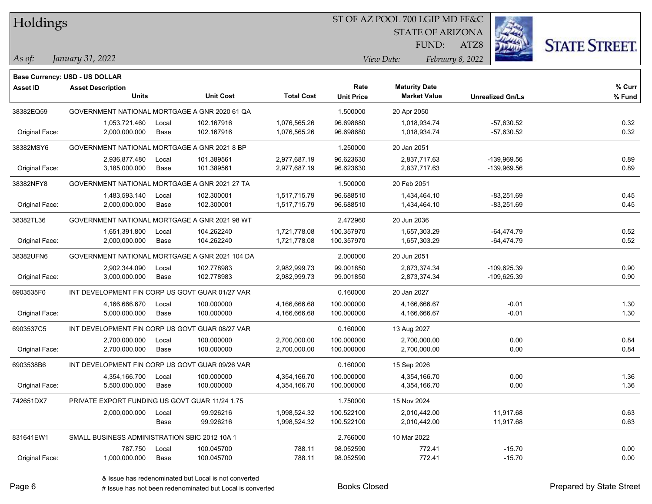Holdings

## ST OF AZ POOL 700 LGIP MD FF&C

STATE OF ARIZONA

ATZ8



*January 31, 2022 As of: View Date: February 8, 2022*

**Base Currency: USD - US DOLLAR**

FUND:

| <b>Asset ID</b> | <b>Asset Description</b>                        |       |                  |                   | Rate              | <b>Maturity Date</b> |                         | % Curr |
|-----------------|-------------------------------------------------|-------|------------------|-------------------|-------------------|----------------------|-------------------------|--------|
|                 | <b>Units</b>                                    |       | <b>Unit Cost</b> | <b>Total Cost</b> | <b>Unit Price</b> | <b>Market Value</b>  | <b>Unrealized Gn/Ls</b> | % Fund |
| 38382EQ59       | GOVERNMENT NATIONAL MORTGAGE A GNR 2020 61 QA   |       |                  |                   | 1.500000          | 20 Apr 2050          |                         |        |
|                 | 1,053,721.460                                   | Local | 102.167916       | 1,076,565.26      | 96.698680         | 1,018,934.74         | $-57,630.52$            | 0.32   |
| Original Face:  | 2,000,000.000                                   | Base  | 102.167916       | 1,076,565.26      | 96.698680         | 1,018,934.74         | $-57,630.52$            | 0.32   |
| 38382MSY6       | GOVERNMENT NATIONAL MORTGAGE A GNR 2021 8 BP    |       |                  |                   | 1.250000          | 20 Jan 2051          |                         |        |
|                 | 2,936,877.480                                   | Local | 101.389561       | 2,977,687.19      | 96.623630         | 2,837,717.63         | -139,969.56             | 0.89   |
| Original Face:  | 3,185,000.000                                   | Base  | 101.389561       | 2,977,687.19      | 96.623630         | 2,837,717.63         | -139,969.56             | 0.89   |
| 38382NFY8       | GOVERNMENT NATIONAL MORTGAGE A GNR 2021 27 TA   |       |                  |                   | 1.500000          | 20 Feb 2051          |                         |        |
|                 | 1,483,593.140                                   | Local | 102.300001       | 1,517,715.79      | 96.688510         | 1,434,464.10         | $-83,251.69$            | 0.45   |
| Original Face:  | 2,000,000.000                                   | Base  | 102.300001       | 1,517,715.79      | 96.688510         | 1,434,464.10         | $-83,251.69$            | 0.45   |
| 38382TL36       | GOVERNMENT NATIONAL MORTGAGE A GNR 2021 98 WT   |       |                  |                   | 2.472960          | 20 Jun 2036          |                         |        |
|                 | 1,651,391.800                                   | Local | 104.262240       | 1,721,778.08      | 100.357970        | 1,657,303.29         | $-64,474.79$            | 0.52   |
| Original Face:  | 2,000,000.000                                   | Base  | 104.262240       | 1,721,778.08      | 100.357970        | 1,657,303.29         | $-64,474.79$            | 0.52   |
| 38382UFN6       | GOVERNMENT NATIONAL MORTGAGE A GNR 2021 104 DA  |       |                  |                   | 2.000000          | 20 Jun 2051          |                         |        |
|                 | 2,902,344.090                                   | Local | 102.778983       | 2,982,999.73      | 99.001850         | 2,873,374.34         | -109,625.39             | 0.90   |
| Original Face:  | 3,000,000.000                                   | Base  | 102.778983       | 2,982,999.73      | 99.001850         | 2,873,374.34         | $-109,625.39$           | 0.90   |
| 6903535F0       | INT DEVELOPMENT FIN CORP US GOVT GUAR 01/27 VAR |       |                  |                   | 0.160000          | 20 Jan 2027          |                         |        |
|                 | 4,166,666.670                                   | Local | 100.000000       | 4,166,666.68      | 100.000000        | 4,166,666.67         | $-0.01$                 | 1.30   |
| Original Face:  | 5,000,000.000                                   | Base  | 100.000000       | 4,166,666.68      | 100.000000        | 4,166,666.67         | $-0.01$                 | 1.30   |
| 6903537C5       | INT DEVELOPMENT FIN CORP US GOVT GUAR 08/27 VAR |       |                  |                   | 0.160000          | 13 Aug 2027          |                         |        |
|                 | 2,700,000.000                                   | Local | 100.000000       | 2,700,000.00      | 100.000000        | 2,700,000.00         | 0.00                    | 0.84   |
| Original Face:  | 2,700,000.000                                   | Base  | 100.000000       | 2,700,000.00      | 100.000000        | 2,700,000.00         | 0.00                    | 0.84   |
| 6903538B6       | INT DEVELOPMENT FIN CORP US GOVT GUAR 09/26 VAR |       |                  |                   | 0.160000          | 15 Sep 2026          |                         |        |
|                 | 4,354,166.700                                   | Local | 100.000000       | 4,354,166.70      | 100.000000        | 4,354,166.70         | 0.00                    | 1.36   |
| Original Face:  | 5,500,000.000                                   | Base  | 100.000000       | 4,354,166.70      | 100.000000        | 4,354,166.70         | 0.00                    | 1.36   |
| 742651DX7       | PRIVATE EXPORT FUNDING US GOVT GUAR 11/24 1.75  |       |                  |                   | 1.750000          | 15 Nov 2024          |                         |        |
|                 | 2,000,000.000                                   | Local | 99.926216        | 1,998,524.32      | 100.522100        | 2,010,442.00         | 11,917.68               | 0.63   |
|                 |                                                 | Base  | 99.926216        | 1,998,524.32      | 100.522100        | 2,010,442.00         | 11,917.68               | 0.63   |
| 831641EW1       | SMALL BUSINESS ADMINISTRATION SBIC 2012 10A 1   |       |                  |                   | 2.766000          | 10 Mar 2022          |                         |        |
|                 | 787.750                                         | Local | 100.045700       | 788.11            | 98.052590         | 772.41               | $-15.70$                | 0.00   |

Original Face: 1,000,000.000 Base 100.045700 788.11 98.052590 772.41 -15.70 0.00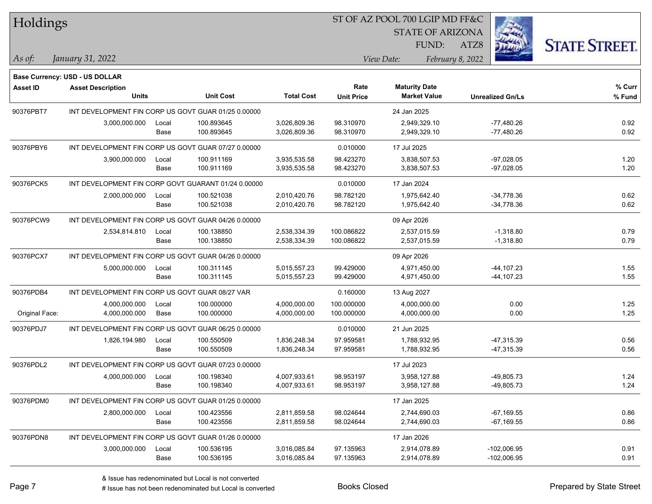| Holdings |  |
|----------|--|
|----------|--|

## ST OF AZ POOL 700 LGIP MD FF&C

STATE OF ARIZONA

ATZ8



**% Curr**

*January 31, 2022 As of: View Date: February 8, 2022*

**Base Currency: USD - US DOLLAR**

FUND:

**Maturity Date**

|                | <b>Units</b>                                        |             | <b>Unit Cost</b> | <b>Total Cost</b> | <b>Unit Price</b> | <b>Market Value</b> | <b>Unrealized Gn/Ls</b> | % Fund |
|----------------|-----------------------------------------------------|-------------|------------------|-------------------|-------------------|---------------------|-------------------------|--------|
| 90376PBT7      | INT DEVELOPMENT FIN CORP US GOVT GUAR 01/25 0.00000 |             |                  |                   |                   | 24 Jan 2025         |                         |        |
|                | 3,000,000.000                                       | Local       | 100.893645       | 3,026,809.36      | 98.310970         | 2,949,329.10        | $-77,480.26$            | 0.92   |
|                |                                                     | Base        | 100.893645       | 3,026,809.36      | 98.310970         | 2,949,329.10        | $-77,480.26$            | 0.92   |
| 90376PBY6      | INT DEVELOPMENT FIN CORP US GOVT GUAR 07/27 0.00000 |             |                  |                   | 0.010000          | 17 Jul 2025         |                         |        |
|                | 3,900,000.000                                       | Local       | 100.911169       | 3,935,535.58      | 98.423270         | 3,838,507.53        | $-97,028.05$            | 1.20   |
|                |                                                     | Base        | 100.911169       | 3,935,535.58      | 98.423270         | 3,838,507.53        | $-97,028.05$            | 1.20   |
| 90376PCK5      | INT DEVELOPMENT FIN CORP GOVT GUARANT 01/24 0.00000 |             |                  |                   | 0.010000          | 17 Jan 2024         |                         |        |
|                | 2,000,000.000                                       | Local       | 100.521038       | 2,010,420.76      | 98.782120         | 1,975,642.40        | $-34,778.36$            | 0.62   |
|                |                                                     | Base        | 100.521038       | 2,010,420.76      | 98.782120         | 1,975,642.40        | $-34,778.36$            | 0.62   |
| 90376PCW9      | INT DEVELOPMENT FIN CORP US GOVT GUAR 04/26 0.00000 |             |                  |                   |                   | 09 Apr 2026         |                         |        |
|                | 2,534,814.810                                       | Local       | 100.138850       | 2,538,334.39      | 100.086822        | 2,537,015.59        | $-1,318.80$             | 0.79   |
|                |                                                     | Base        | 100.138850       | 2,538,334.39      | 100.086822        | 2,537,015.59        | $-1,318.80$             | 0.79   |
| 90376PCX7      | INT DEVELOPMENT FIN CORP US GOVT GUAR 04/26 0.00000 |             |                  |                   |                   | 09 Apr 2026         |                         |        |
|                | 5,000,000.000                                       | Local       | 100.311145       | 5,015,557.23      | 99.429000         | 4,971,450.00        | $-44, 107.23$           | 1.55   |
|                |                                                     | Base        | 100.311145       | 5,015,557.23      | 99.429000         | 4,971,450.00        | $-44, 107.23$           | 1.55   |
| 90376PDB4      | INT DEVELOPMENT FIN CORP US GOVT GUAR 08/27 VAR     |             |                  |                   | 0.160000          | 13 Aug 2027         |                         |        |
|                | 4,000,000.000                                       | Local       | 100.000000       | 4,000,000.00      | 100.000000        | 4,000,000.00        | 0.00                    | 1.25   |
| Original Face: | 4.000.000.000                                       | Base        | 100.000000       | 4,000,000.00      | 100.000000        | 4,000,000.00        | 0.00                    | 1.25   |
| 90376PDJ7      | INT DEVELOPMENT FIN CORP US GOVT GUAR 06/25 0.00000 |             |                  |                   | 0.010000          | 21 Jun 2025         |                         |        |
|                | 1,826,194.980                                       | Local       | 100.550509       | 1,836,248.34      | 97.959581         | 1,788,932.95        | $-47,315.39$            | 0.56   |
|                |                                                     | Base        | 100.550509       | 1,836,248.34      | 97.959581         | 1,788,932.95        | $-47,315.39$            | 0.56   |
| 90376PDL2      | INT DEVELOPMENT FIN CORP US GOVT GUAR 07/23 0.00000 |             |                  |                   |                   | 17 Jul 2023         |                         |        |
|                | 4,000,000.000                                       | Local       | 100.198340       | 4,007,933.61      | 98.953197         | 3,958,127.88        | -49,805.73              | 1.24   |
|                |                                                     | Base        | 100.198340       | 4,007,933.61      | 98.953197         | 3,958,127.88        | $-49,805.73$            | 1.24   |
| 90376PDM0      | INT DEVELOPMENT FIN CORP US GOVT GUAR 01/25 0.00000 |             |                  |                   |                   | 17 Jan 2025         |                         |        |
|                | 2,800,000.000                                       | Local       | 100.423556       | 2,811,859.58      | 98.024644         | 2,744,690.03        | $-67,169.55$            | 0.86   |
|                |                                                     | <b>Base</b> | 100.423556       | 2,811,859.58      | 98.024644         | 2,744,690.03        | $-67,169.55$            | 0.86   |
| 90376PDN8      | INT DEVELOPMENT FIN CORP US GOVT GUAR 01/26 0.00000 |             |                  |                   |                   | 17 Jan 2026         |                         |        |

**Asset ID Asset Description Rate**

3,000,000.000 Local 100.536195 3,016,085.84 97.135963 2,914,078.89 -102,006.95 0.91

Base 100.536195 3,016,085.84 97.135963 2,914,078.89 -102,006.95 0.91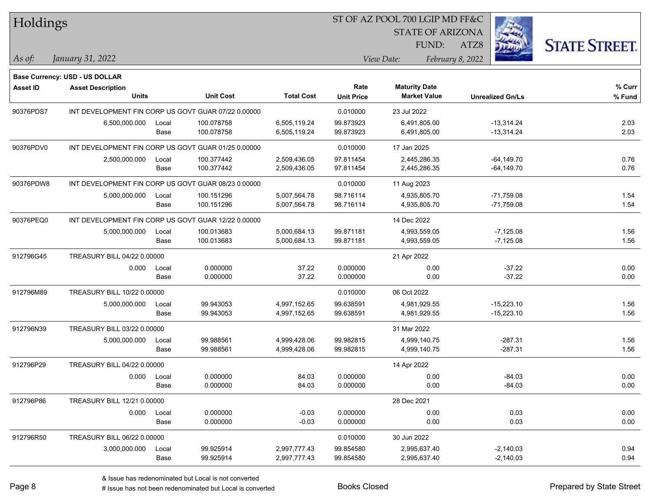| Holdings<br><b>STATE OF ARIZONA</b><br>FUND:                                                                                 | <b>STATE STREET.</b> |
|------------------------------------------------------------------------------------------------------------------------------|----------------------|
|                                                                                                                              |                      |
|                                                                                                                              |                      |
| ATZ8                                                                                                                         |                      |
| January 31, 2022<br>February 8, 2022<br>As of:<br>View Date:                                                                 |                      |
| <b>Base Currency: USD - US DOLLAR</b>                                                                                        |                      |
| <b>Maturity Date</b><br>Rate<br>Asset ID<br><b>Asset Description</b>                                                         | % Curr               |
| <b>Units</b><br><b>Unit Cost</b><br><b>Total Cost</b><br><b>Market Value</b><br><b>Unit Price</b><br><b>Unrealized Gn/Ls</b> | % Fund               |
| INT DEVELOPMENT FIN CORP US GOVT GUAR 07/22 0.00000<br>90376PDS7<br>0.010000<br>23 Jul 2022                                  |                      |
| 99.873923<br>6,500,000.000<br>100.078758<br>6,505,119.24<br>6,491,805.00<br>$-13,314.24$<br>Local                            | 2.03                 |
| 100.078758<br>99.873923<br>$-13,314.24$<br>Base<br>6,505,119.24<br>6,491,805.00                                              | 2.03                 |
| 90376PDV0<br>INT DEVELOPMENT FIN CORP US GOVT GUAR 01/25 0.00000<br>0.010000<br>17 Jan 2025                                  |                      |
| 2,500,000.000<br>100.377442<br>2,509,436.05<br>97.811454<br>2,445,286.35<br>$-64, 149.70$<br>Local                           | 0.76                 |
| 100.377442<br>2,509,436.05<br>97.811454<br>2,445,286.35<br>$-64, 149.70$<br>Base                                             | 0.76                 |
| 90376PDW8<br>INT DEVELOPMENT FIN CORP US GOVT GUAR 08/23 0.00000<br>0.010000<br>11 Aug 2023                                  |                      |
| 5,007,564.78<br>$-71,759.08$<br>5,000,000.000<br>Local<br>100.151296<br>98.716114<br>4,935,805.70                            | 1.54                 |
| 100.151296<br>98.716114<br>4,935,805.70<br>$-71,759.08$<br>Base<br>5,007,564.78                                              | 1.54                 |
| 90376PEQ0<br>INT DEVELOPMENT FIN CORP US GOVT GUAR 12/22 0.00000<br>14 Dec 2022                                              |                      |
| 99.871181<br>5,000,000.000<br>100.013683<br>5,000,684.13<br>4,993,559.05<br>$-7,125.08$<br>Local                             | 1.56                 |
| 99.871181<br>$-7,125.08$<br>Base<br>100.013683<br>5,000,684.13<br>4,993,559.05                                               | 1.56                 |
| 912796G45<br>TREASURY BILL 04/22 0.00000<br>21 Apr 2022                                                                      |                      |
| 0.000000<br>37.22<br>0.000000<br>$-37.22$<br>0.000<br>0.00<br>Local                                                          | 0.00                 |
| $-37.22$<br>0.000000<br>37.22<br>0.000000<br>0.00<br>Base                                                                    | 0.00                 |
| 912796M89<br>TREASURY BILL 10/22 0.00000<br>0.010000<br>06 Oct 2022                                                          |                      |
| 99.943053<br>$-15,223.10$<br>5,000,000.000<br>4,997,152.65<br>99.638591<br>4,981,929.55<br>Local                             | 1.56                 |
| 99.943053<br>4,981,929.55<br>$-15,223.10$<br>Base<br>4,997,152.65<br>99.638591                                               | 1.56                 |
| 912796N39<br>TREASURY BILL 03/22 0.00000<br>31 Mar 2022                                                                      |                      |
| 99.988561<br>99.982815<br>$-287.31$<br>5,000,000.000<br>4,999,428.06<br>4,999,140.75<br>Local                                | 1.56                 |
| 99.988561<br>$-287.31$<br>Base<br>4,999,428.06<br>99.982815<br>4,999,140.75                                                  | 1.56                 |
| 912796P29<br>TREASURY BILL 04/22 0.00000<br>14 Apr 2022                                                                      |                      |
| 0.000000<br>84.03<br>0.000000<br>$-84.03$<br>0.000<br>0.00<br>Local                                                          | 0.00                 |
| 0.000000<br>84.03<br>0.000000<br>0.00<br>$-84.03$<br>Base                                                                    | 0.00                 |
| 912796P86<br>TREASURY BILL 12/21 0.00000<br>28 Dec 2021                                                                      |                      |
| $-0.03$<br>0.000000<br>0.03<br>0.000000<br>0.00<br>0.000 Local                                                               | 0.00                 |
| 0.00<br>Base<br>0.000000<br>$-0.03$<br>0.000000<br>0.03                                                                      | 0.00                 |
| 912796R50<br>TREASURY BILL 06/22 0.00000<br>0.010000<br>30 Jun 2022                                                          |                      |
| 99.925914<br>2,997,777.43<br>99.854580<br>2,995,637.40<br>$-2,140.03$<br>3,000,000.000<br>Local                              | 0.94                 |
| 99.925914<br>2,997,777.43<br>99.854580<br>2,995,637.40<br>$-2,140.03$<br>Base                                                | 0.94                 |

 $\overline{S}$   $\overline{S}$   $\overline{S}$   $\overline{S}$   $\overline{S}$   $\overline{S}$   $\overline{S}$   $\overline{S}$   $\overline{S}$   $\overline{S}$   $\overline{S}$   $\overline{S}$   $\overline{S}$   $\overline{S}$   $\overline{S}$   $\overline{S}$   $\overline{S}$   $\overline{S}$   $\overline{S}$   $\overline{S}$   $\overline{S}$   $\overline{S}$   $\overline{S}$   $\overline{S}$   $\overline{$ 

٦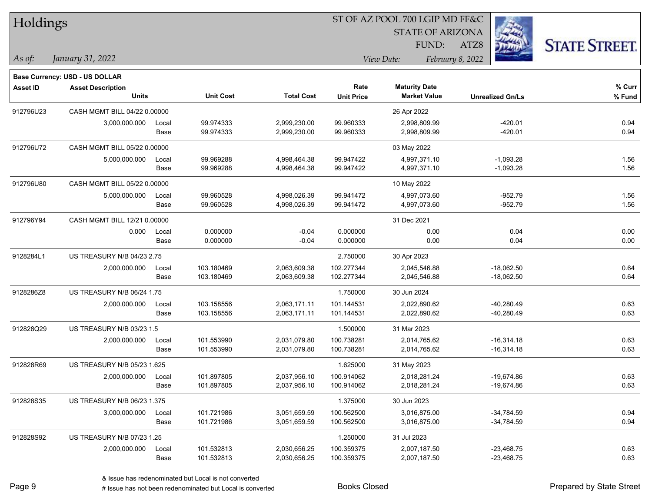| Holdings        |                                       |       |                  |                   | 51 OF AZ POOL 700 LGIP MD FF&C |                         |                         |                     |  |  |
|-----------------|---------------------------------------|-------|------------------|-------------------|--------------------------------|-------------------------|-------------------------|---------------------|--|--|
|                 |                                       |       |                  |                   |                                | <b>STATE OF ARIZONA</b> |                         |                     |  |  |
|                 |                                       |       |                  |                   |                                | FUND:                   | ATZ8                    | <b>STATE STREET</b> |  |  |
| As of:          | January 31, 2022                      |       |                  |                   |                                | View Date:              | February 8, 2022        |                     |  |  |
|                 | <b>Base Currency: USD - US DOLLAR</b> |       |                  |                   |                                |                         |                         |                     |  |  |
| <b>Asset ID</b> | <b>Asset Description</b>              |       |                  |                   | Rate                           | <b>Maturity Date</b>    |                         | % Curr              |  |  |
|                 | <b>Units</b>                          |       | <b>Unit Cost</b> | <b>Total Cost</b> | <b>Unit Price</b>              | <b>Market Value</b>     | <b>Unrealized Gn/Ls</b> | % Fund              |  |  |
| 912796U23       | CASH MGMT BILL 04/22 0.00000          |       |                  |                   |                                | 26 Apr 2022             |                         |                     |  |  |
|                 | 3,000,000.000                         | Local | 99.974333        | 2,999,230.00      | 99.960333                      | 2,998,809.99            | $-420.01$               | 0.94                |  |  |
|                 |                                       | Base  | 99.974333        | 2,999,230.00      | 99.960333                      | 2,998,809.99            | $-420.01$               | 0.94                |  |  |
| 912796U72       | CASH MGMT BILL 05/22 0.00000          |       |                  |                   |                                | 03 May 2022             |                         |                     |  |  |
|                 | 5,000,000.000                         | Local | 99.969288        | 4,998,464.38      | 99.947422                      | 4,997,371.10            | $-1,093.28$             | 1.56                |  |  |
|                 |                                       | Base  | 99.969288        | 4,998,464.38      | 99.947422                      | 4,997,371.10            | $-1,093.28$             | 1.56                |  |  |
| 912796U80       | CASH MGMT BILL 05/22 0.00000          |       |                  |                   |                                | 10 May 2022             |                         |                     |  |  |
|                 | 5,000,000.000                         | Local | 99.960528        | 4,998,026.39      | 99.941472                      | 4,997,073.60            | $-952.79$               | 1.56                |  |  |
|                 |                                       | Base  | 99.960528        | 4,998,026.39      | 99.941472                      | 4,997,073.60            | $-952.79$               | 1.56                |  |  |
| 912796Y94       | CASH MGMT BILL 12/21 0.00000          |       |                  |                   |                                | 31 Dec 2021             |                         |                     |  |  |
|                 | 0.000                                 | Local | 0.000000         | $-0.04$           | 0.000000                       | 0.00                    | 0.04                    | 0.00                |  |  |
|                 |                                       | Base  | 0.000000         | $-0.04$           | 0.000000                       | 0.00                    | 0.04                    | 0.00                |  |  |
| 9128284L1       | <b>US TREASURY N/B 04/23 2.75</b>     |       |                  |                   | 2.750000                       | 30 Apr 2023             |                         |                     |  |  |
|                 | 2,000,000.000                         | Local | 103.180469       | 2,063,609.38      | 102.277344                     | 2,045,546.88            | $-18,062.50$            | 0.64                |  |  |
|                 |                                       | Base  | 103.180469       | 2,063,609.38      | 102.277344                     | 2,045,546.88            | $-18,062.50$            | 0.64                |  |  |
| 9128286Z8       | US TREASURY N/B 06/24 1.75            |       |                  |                   | 1.750000                       | 30 Jun 2024             |                         |                     |  |  |
|                 | 2,000,000.000                         | Local | 103.158556       | 2,063,171.11      | 101.144531                     | 2,022,890.62            | $-40,280.49$            | 0.63                |  |  |
|                 |                                       | Base  | 103.158556       | 2,063,171.11      | 101.144531                     | 2,022,890.62            | $-40,280.49$            | 0.63                |  |  |
| 912828Q29       | US TREASURY N/B 03/23 1.5             |       |                  |                   | 1.500000                       | 31 Mar 2023             |                         |                     |  |  |
|                 | 2,000,000.000                         | Local | 101.553990       | 2,031,079.80      | 100.738281                     | 2,014,765.62            | $-16,314.18$            | 0.63                |  |  |
|                 |                                       | Base  | 101.553990       | 2,031,079.80      | 100.738281                     | 2,014,765.62            | $-16,314.18$            | 0.63                |  |  |
| 912828R69       | US TREASURY N/B 05/23 1.625           |       |                  |                   | 1.625000                       | 31 May 2023             |                         |                     |  |  |
|                 | 2,000,000.000                         | Local | 101.897805       | 2,037,956.10      | 100.914062                     | 2,018,281.24            | $-19,674.86$            | 0.63                |  |  |
|                 |                                       | Base  | 101.897805       | 2,037,956.10      | 100.914062                     | 2,018,281.24            | -19,674.86              | 0.63                |  |  |
| 912828S35       | US TREASURY N/B 06/23 1.375           |       |                  |                   | 1.375000                       | 30 Jun 2023             |                         |                     |  |  |
|                 | 3,000,000.000                         | Local | 101.721986       | 3,051,659.59      | 100.562500                     | 3,016,875.00            | $-34,784.59$            | 0.94                |  |  |
|                 |                                       | Base  | 101.721986       | 3,051,659.59      | 100.562500                     | 3,016,875.00            | $-34,784.59$            | 0.94                |  |  |
| 912828S92       | US TREASURY N/B 07/23 1.25            |       |                  |                   | 1.250000                       | 31 Jul 2023             |                         |                     |  |  |
|                 | 2,000,000.000                         | Local | 101.532813       | 2,030,656.25      | 100.359375                     | 2,007,187.50            | $-23,468.75$            | 0.63                |  |  |
|                 |                                       | Base  | 101.532813       | 2,030,656.25      | 100.359375                     | 2,007,187.50            | $-23,468.75$            | 0.63                |  |  |

 $\overline{S}$   $\overline{S}$   $\overline{S}$   $\overline{S}$   $\overline{S}$   $\overline{S}$   $\overline{S}$   $\overline{S}$   $\overline{S}$   $\overline{S}$   $\overline{S}$   $\overline{S}$   $\overline{S}$   $\overline{S}$   $\overline{S}$   $\overline{S}$   $\overline{S}$   $\overline{S}$   $\overline{S}$   $\overline{S}$   $\overline{S}$   $\overline{S}$   $\overline{S}$   $\overline{S}$   $\overline{$ 

# Issue has not been redenominated but Local is converted Books Closed Prepared by State Street

٦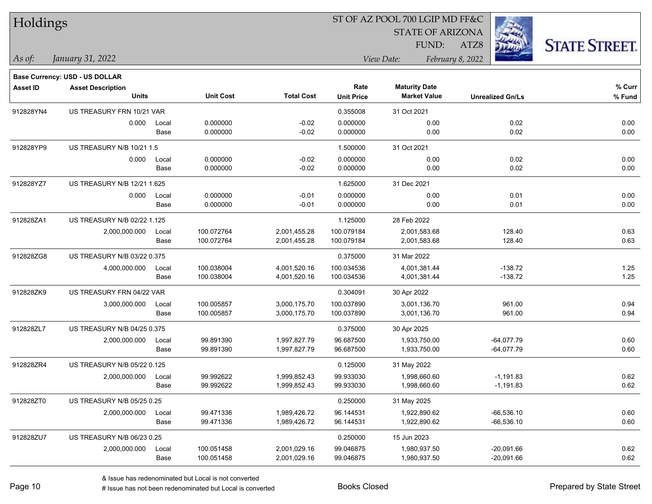| Holdings        |                                |       |                  |                   | ST OF AZ POOL 700 LGIP MD FF&C |                      |                         |                         |                      |
|-----------------|--------------------------------|-------|------------------|-------------------|--------------------------------|----------------------|-------------------------|-------------------------|----------------------|
|                 |                                |       |                  |                   |                                |                      | <b>STATE OF ARIZONA</b> |                         |                      |
|                 |                                |       |                  |                   |                                | FUND:                | ATZ8                    |                         | <b>STATE STREET.</b> |
| As of:          | January 31, 2022               |       |                  |                   |                                | View Date:           | February 8, 2022        |                         |                      |
|                 | Base Currency: USD - US DOLLAR |       |                  |                   |                                |                      |                         |                         |                      |
| <b>Asset ID</b> | <b>Asset Description</b>       |       |                  |                   | Rate                           | <b>Maturity Date</b> |                         |                         | % Curr               |
|                 | <b>Units</b>                   |       | <b>Unit Cost</b> | <b>Total Cost</b> | <b>Unit Price</b>              | <b>Market Value</b>  |                         | <b>Unrealized Gn/Ls</b> | % Fund               |
| 912828YN4       | US TREASURY FRN 10/21 VAR      |       |                  |                   | 0.355008                       | 31 Oct 2021          |                         |                         |                      |
|                 | 0.000                          | Local | 0.000000         | $-0.02$           | 0.000000                       | 0.00                 |                         | 0.02                    | 0.00                 |
|                 |                                | Base  | 0.000000         | $-0.02$           | 0.000000                       | 0.00                 |                         | 0.02                    | 0.00                 |
| 912828YP9       | US TREASURY N/B 10/21 1.5      |       |                  |                   | 1.500000                       | 31 Oct 2021          |                         |                         |                      |
|                 | 0.000                          | Local | 0.000000         | $-0.02$           | 0.000000                       | 0.00                 |                         | 0.02                    | 0.00                 |
|                 |                                | Base  | 0.000000         | $-0.02$           | 0.000000                       | 0.00                 |                         | 0.02                    | 0.00                 |
| 912828YZ7       | US TREASURY N/B 12/21 1.625    |       |                  |                   | 1.625000                       | 31 Dec 2021          |                         |                         |                      |
|                 | 0.000                          | Local | 0.000000         | $-0.01$           | 0.000000                       | 0.00                 |                         | 0.01                    | 0.00                 |
|                 |                                | Base  | 0.000000         | $-0.01$           | 0.000000                       | 0.00                 |                         | 0.01                    | 0.00                 |
| 912828ZA1       | US TREASURY N/B 02/22 1.125    |       |                  |                   | 1.125000                       | 28 Feb 2022          |                         |                         |                      |
|                 | 2,000,000.000                  | Local | 100.072764       | 2,001,455.28      | 100.079184                     | 2,001,583.68         |                         | 128.40                  | 0.63                 |
|                 |                                | Base  | 100.072764       | 2,001,455.28      | 100.079184                     | 2,001,583.68         |                         | 128.40                  | 0.63                 |
| 912828ZG8       | US TREASURY N/B 03/22 0.375    |       |                  |                   | 0.375000                       | 31 Mar 2022          |                         |                         |                      |
|                 | 4,000,000.000                  | Local | 100.038004       | 4,001,520.16      | 100.034536                     | 4,001,381.44         |                         | $-138.72$               | 1.25                 |
|                 |                                | Base  | 100.038004       | 4,001,520.16      | 100.034536                     | 4,001,381.44         |                         | $-138.72$               | 1.25                 |
| 912828ZK9       | US TREASURY FRN 04/22 VAR      |       |                  |                   | 0.304091                       | 30 Apr 2022          |                         |                         |                      |
|                 | 3,000,000.000                  | Local | 100.005857       | 3,000,175.70      | 100.037890                     | 3,001,136.70         |                         | 961.00                  | 0.94                 |
|                 |                                | Base  | 100.005857       | 3,000,175.70      | 100.037890                     | 3,001,136.70         |                         | 961.00                  | 0.94                 |
| 912828ZL7       | US TREASURY N/B 04/25 0.375    |       |                  |                   | 0.375000                       | 30 Apr 2025          |                         |                         |                      |
|                 | 2,000,000.000                  | Local | 99.891390        | 1,997,827.79      | 96.687500                      | 1,933,750.00         |                         | $-64,077.79$            | 0.60                 |
|                 |                                | Base  | 99.891390        | 1,997,827.79      | 96.687500                      | 1,933,750.00         |                         | $-64,077.79$            | 0.60                 |
| 912828ZR4       | US TREASURY N/B 05/22 0.125    |       |                  |                   | 0.125000                       | 31 May 2022          |                         |                         |                      |
|                 | 2,000,000.000 Local            |       | 99.992622        | 1,999,852.43      | 99.933030                      | 1,998,660.60         |                         | $-1,191.83$             | 0.62                 |
|                 |                                | Base  | 99.992622        | 1,999,852.43      | 99.933030                      | 1,998,660.60         |                         | $-1,191.83$             | 0.62                 |
| 912828ZT0       | US TREASURY N/B 05/25 0.25     |       |                  |                   | 0.250000                       | 31 May 2025          |                         |                         |                      |
|                 | 2,000,000.000                  | Local | 99.471336        | 1,989,426.72      | 96.144531                      | 1,922,890.62         |                         | $-66,536.10$            | 0.60                 |
|                 |                                | Base  | 99.471336        | 1,989,426.72      | 96.144531                      | 1,922,890.62         |                         | $-66,536.10$            | 0.60                 |
| 912828ZU7       | US TREASURY N/B 06/23 0.25     |       |                  |                   | 0.250000                       | 15 Jun 2023          |                         |                         |                      |
|                 | 2,000,000.000                  | Local | 100.051458       | 2,001,029.16      | 99.046875                      | 1,980,937.50         |                         | $-20,091.66$            | 0.62                 |
|                 |                                | Base  | 100.051458       | 2,001,029.16      | 99.046875                      | 1,980,937.50         |                         | $-20,091.66$            | 0.62                 |

 $\overline{\phantom{0}}$ 

 $\overline{\phantom{0}}$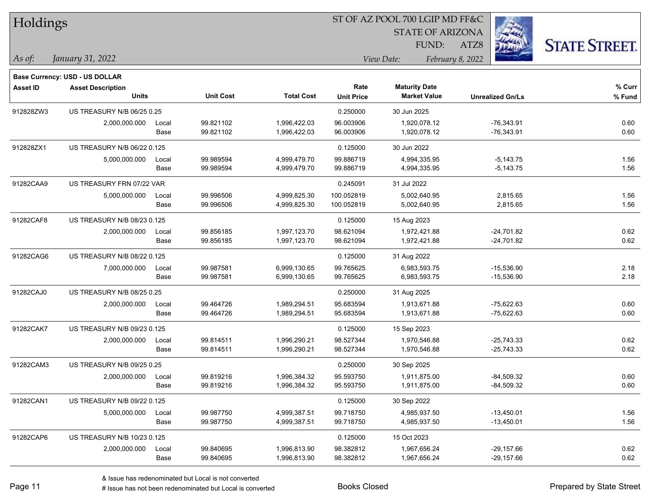| Holdings   |                                       |       |                  |                   | 51 OF AZ POOL 700 LGIP MD FF&C |                                  |                         |                      |
|------------|---------------------------------------|-------|------------------|-------------------|--------------------------------|----------------------------------|-------------------------|----------------------|
|            |                                       |       |                  |                   |                                | <b>STATE OF ARIZONA</b><br>FUND: | ATZ8                    |                      |
|            |                                       |       |                  |                   |                                | View Date:                       |                         | <b>STATE STREET.</b> |
| $ $ As of: | January 31, 2022                      |       |                  |                   |                                |                                  | February 8, 2022        |                      |
|            | <b>Base Currency: USD - US DOLLAR</b> |       |                  |                   |                                |                                  |                         |                      |
| Asset ID   | <b>Asset Description</b>              |       | <b>Unit Cost</b> | <b>Total Cost</b> | Rate                           | <b>Maturity Date</b>             |                         | % Curr               |
|            | <b>Units</b>                          |       |                  |                   | <b>Unit Price</b>              | <b>Market Value</b>              | <b>Unrealized Gn/Ls</b> | % Fund               |
| 912828ZW3  | US TREASURY N/B 06/25 0.25            |       |                  |                   | 0.250000                       | 30 Jun 2025                      |                         |                      |
|            | 2,000,000.000                         | Local | 99.821102        | 1,996,422.03      | 96.003906                      | 1,920,078.12                     | $-76,343.91$            | 0.60                 |
|            |                                       | Base  | 99.821102        | 1,996,422.03      | 96.003906                      | 1,920,078.12                     | $-76,343.91$            | 0.60                 |
| 912828ZX1  | US TREASURY N/B 06/22 0.125           |       |                  |                   | 0.125000                       | 30 Jun 2022                      |                         |                      |
|            | 5,000,000.000                         | Local | 99.989594        | 4,999,479.70      | 99.886719                      | 4,994,335.95                     | $-5,143.75$             | 1.56                 |
|            |                                       | Base  | 99.989594        | 4,999,479.70      | 99.886719                      | 4,994,335.95                     | $-5,143.75$             | 1.56                 |
| 91282CAA9  | US TREASURY FRN 07/22 VAR             |       |                  |                   | 0.245091                       | 31 Jul 2022                      |                         |                      |
|            | 5,000,000.000                         | Local | 99.996506        | 4,999,825.30      | 100.052819                     | 5,002,640.95                     | 2,815.65                | 1.56                 |
|            |                                       | Base  | 99.996506        | 4,999,825.30      | 100.052819                     | 5,002,640.95                     | 2,815.65                | 1.56                 |
| 91282CAF8  | US TREASURY N/B 08/23 0.125           |       |                  |                   | 0.125000                       | 15 Aug 2023                      |                         |                      |
|            | 2,000,000.000                         | Local | 99.856185        | 1,997,123.70      | 98.621094                      | 1,972,421.88                     | $-24,701.82$            | 0.62                 |
|            |                                       | Base  | 99.856185        | 1,997,123.70      | 98.621094                      | 1,972,421.88                     | $-24,701.82$            | 0.62                 |
| 91282CAG6  | US TREASURY N/B 08/22 0.125           |       |                  |                   | 0.125000                       | 31 Aug 2022                      |                         |                      |
|            | 7,000,000.000                         | Local | 99.987581        | 6,999,130.65      | 99.765625                      | 6,983,593.75                     | $-15,536.90$            | 2.18                 |
|            |                                       | Base  | 99.987581        | 6,999,130.65      | 99.765625                      | 6,983,593.75                     | $-15,536.90$            | 2.18                 |
| 91282CAJ0  | US TREASURY N/B 08/25 0.25            |       |                  |                   | 0.250000                       | 31 Aug 2025                      |                         |                      |
|            | 2,000,000.000                         | Local | 99.464726        | 1,989,294.51      | 95.683594                      | 1,913,671.88                     | $-75,622.63$            | 0.60                 |
|            |                                       | Base  | 99.464726        | 1,989,294.51      | 95.683594                      | 1,913,671.88                     | $-75,622.63$            | 0.60                 |
| 91282CAK7  | US TREASURY N/B 09/23 0.125           |       |                  |                   | 0.125000                       | 15 Sep 2023                      |                         |                      |
|            | 2,000,000.000                         | Local | 99.814511        | 1,996,290.21      | 98.527344                      | 1,970,546.88                     | $-25,743.33$            | 0.62                 |
|            |                                       | Base  | 99.814511        | 1,996,290.21      | 98.527344                      | 1,970,546.88                     | $-25,743.33$            | 0.62                 |
| 91282CAM3  | US TREASURY N/B 09/25 0.25            |       |                  |                   | 0.250000                       | 30 Sep 2025                      |                         |                      |
|            | 2,000,000.000                         | Local | 99.819216        | 1,996,384.32      | 95.593750                      | 1,911,875.00                     | $-84,509.32$            | 0.60                 |
|            |                                       | Base  | 99.819216        | 1,996,384.32      | 95.593750                      | 1,911,875.00                     | $-84,509.32$            | 0.60                 |
| 91282CAN1  | US TREASURY N/B 09/22 0.125           |       |                  |                   | 0.125000                       | 30 Sep 2022                      |                         |                      |
|            | 5,000,000.000                         | Local | 99.987750        | 4,999,387.51      | 99.718750                      | 4,985,937.50                     | $-13,450.01$            | 1.56                 |
|            |                                       | Base  | 99.987750        | 4,999,387.51      | 99.718750                      | 4,985,937.50                     | $-13,450.01$            | 1.56                 |
| 91282CAP6  | US TREASURY N/B 10/23 0.125           |       |                  |                   | 0.125000                       | 15 Oct 2023                      |                         |                      |
|            | 2,000,000.000                         | Local | 99.840695        | 1,996,813.90      | 98.382812                      | 1,967,656.24                     | $-29,157.66$            | 0.62                 |
|            |                                       | Base  | 99.840695        | 1,996,813.90      | 98.382812                      | 1,967,656.24                     | $-29,157.66$            | 0.62                 |

 $ST$  OF A Z POOL 700 LCIP MD FF&C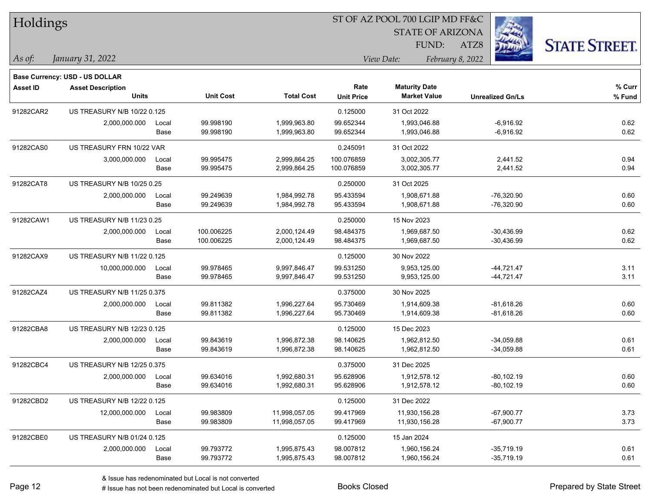| Holdings        |                                |       |                  |                   | ST OF AZ POOL 700 LGIP MD FF&C |                         |                         |                      |  |  |
|-----------------|--------------------------------|-------|------------------|-------------------|--------------------------------|-------------------------|-------------------------|----------------------|--|--|
|                 |                                |       |                  |                   |                                | <b>STATE OF ARIZONA</b> |                         |                      |  |  |
|                 |                                |       |                  |                   |                                | FUND:                   | ATZ8                    | <b>STATE STREET.</b> |  |  |
| As of:          | January 31, 2022               |       |                  |                   |                                | View Date:              | February 8, 2022        |                      |  |  |
|                 | Base Currency: USD - US DOLLAR |       |                  |                   |                                |                         |                         |                      |  |  |
| <b>Asset ID</b> | <b>Asset Description</b>       |       |                  |                   | Rate                           | <b>Maturity Date</b>    |                         | $%$ Curr             |  |  |
|                 | <b>Units</b>                   |       | <b>Unit Cost</b> | <b>Total Cost</b> | <b>Unit Price</b>              | <b>Market Value</b>     | <b>Unrealized Gn/Ls</b> | % Fund               |  |  |
| 91282CAR2       | US TREASURY N/B 10/22 0.125    |       |                  |                   | 0.125000                       | 31 Oct 2022             |                         |                      |  |  |
|                 | 2,000,000.000                  | Local | 99.998190        | 1,999,963.80      | 99.652344                      | 1,993,046.88            | $-6,916.92$             | 0.62                 |  |  |
|                 |                                | Base  | 99.998190        | 1,999,963.80      | 99.652344                      | 1,993,046.88            | $-6,916.92$             | 0.62                 |  |  |
| 91282CAS0       | US TREASURY FRN 10/22 VAR      |       |                  |                   | 0.245091                       | 31 Oct 2022             |                         |                      |  |  |
|                 | 3,000,000.000                  | Local | 99.995475        | 2,999,864.25      | 100.076859                     | 3,002,305.77            | 2,441.52                | 0.94                 |  |  |
|                 |                                | Base  | 99.995475        | 2,999,864.25      | 100.076859                     | 3,002,305.77            | 2,441.52                | 0.94                 |  |  |
| 91282CAT8       | US TREASURY N/B 10/25 0.25     |       |                  |                   | 0.250000                       | 31 Oct 2025             |                         |                      |  |  |
|                 | 2,000,000.000                  | Local | 99.249639        | 1,984,992.78      | 95.433594                      | 1,908,671.88            | $-76,320.90$            | 0.60                 |  |  |
|                 |                                | Base  | 99.249639        | 1,984,992.78      | 95.433594                      | 1,908,671.88            | $-76,320.90$            | 0.60                 |  |  |
| 91282CAW1       | US TREASURY N/B 11/23 0.25     |       |                  |                   | 0.250000                       | 15 Nov 2023             |                         |                      |  |  |
|                 | 2,000,000.000                  | Local | 100.006225       | 2,000,124.49      | 98.484375                      | 1,969,687.50            | $-30,436.99$            | 0.62                 |  |  |
|                 |                                | Base  | 100.006225       | 2,000,124.49      | 98.484375                      | 1,969,687.50            | $-30,436.99$            | 0.62                 |  |  |
| 91282CAX9       | US TREASURY N/B 11/22 0.125    |       |                  |                   | 0.125000                       | 30 Nov 2022             |                         |                      |  |  |
|                 | 10,000,000.000                 | Local | 99.978465        | 9,997,846.47      | 99.531250                      | 9,953,125.00            | $-44,721.47$            | 3.11                 |  |  |
|                 |                                | Base  | 99.978465        | 9,997,846.47      | 99.531250                      | 9,953,125.00            | -44,721.47              | 3.11                 |  |  |
| 91282CAZ4       | US TREASURY N/B 11/25 0.375    |       |                  |                   | 0.375000                       | 30 Nov 2025             |                         |                      |  |  |
|                 | 2,000,000.000                  | Local | 99.811382        | 1,996,227.64      | 95.730469                      | 1,914,609.38            | $-81,618.26$            | 0.60                 |  |  |
|                 |                                | Base  | 99.811382        | 1,996,227.64      | 95.730469                      | 1,914,609.38            | $-81,618.26$            | 0.60                 |  |  |
| 91282CBA8       | US TREASURY N/B 12/23 0.125    |       |                  |                   | 0.125000                       | 15 Dec 2023             |                         |                      |  |  |
|                 | 2,000,000.000                  | Local | 99.843619        | 1,996,872.38      | 98.140625                      | 1,962,812.50            | $-34,059.88$            | 0.61                 |  |  |
|                 |                                | Base  | 99.843619        | 1,996,872.38      | 98.140625                      | 1,962,812.50            | $-34,059.88$            | 0.61                 |  |  |
| 91282CBC4       | US TREASURY N/B 12/25 0.375    |       |                  |                   | 0.375000                       | 31 Dec 2025             |                         |                      |  |  |
|                 | 2,000,000.000                  | Local | 99.634016        | 1,992,680.31      | 95.628906                      | 1,912,578.12            | $-80, 102.19$           | 0.60                 |  |  |
|                 |                                | Base  | 99.634016        | 1,992,680.31      | 95.628906                      | 1,912,578.12            | $-80,102.19$            | 0.60                 |  |  |
| 91282CBD2       | US TREASURY N/B 12/22 0.125    |       |                  |                   | 0.125000                       | 31 Dec 2022             |                         |                      |  |  |
|                 | 12,000,000.000                 | Local | 99.983809        | 11,998,057.05     | 99.417969                      | 11,930,156.28           | $-67,900.77$            | 3.73                 |  |  |
|                 |                                | Base  | 99.983809        | 11,998,057.05     | 99.417969                      | 11,930,156.28           | $-67,900.77$            | 3.73                 |  |  |
| 91282CBE0       | US TREASURY N/B 01/24 0.125    |       |                  |                   | 0.125000                       | 15 Jan 2024             |                         |                      |  |  |
|                 | 2,000,000.000                  | Local | 99.793772        | 1,995,875.43      | 98.007812                      | 1,960,156.24            | $-35,719.19$            | 0.61                 |  |  |
|                 |                                | Base  | 99.793772        | 1,995,875.43      | 98.007812                      | 1,960,156.24            | $-35,719.19$            | 0.61                 |  |  |

 $\overline{\phantom{0}}$ 

 $\overline{\phantom{0}}$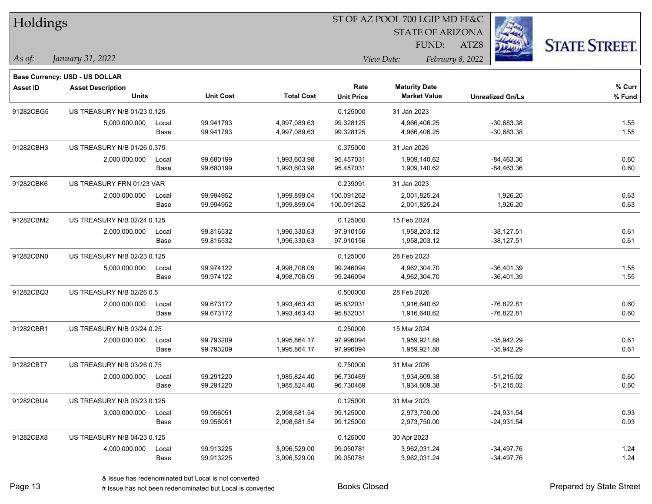| Holdings   |                                          |       |                  |                   | 51 OF AZ POOL 700 LGIP MD FF&C |                                             |                         |                      |  |  |
|------------|------------------------------------------|-------|------------------|-------------------|--------------------------------|---------------------------------------------|-------------------------|----------------------|--|--|
|            |                                          |       |                  |                   |                                | <b>STATE OF ARIZONA</b>                     |                         |                      |  |  |
|            |                                          |       |                  |                   |                                | FUND:                                       | ATZ8                    | <b>STATE STREET.</b> |  |  |
| $ $ As of: | January 31, 2022                         |       |                  |                   |                                | View Date:                                  | February 8, 2022        |                      |  |  |
|            |                                          |       |                  |                   |                                |                                             |                         |                      |  |  |
|            | <b>Base Currency: USD - US DOLLAR</b>    |       |                  |                   |                                |                                             |                         |                      |  |  |
| Asset ID   | <b>Asset Description</b><br><b>Units</b> |       | <b>Unit Cost</b> | <b>Total Cost</b> | Rate<br><b>Unit Price</b>      | <b>Maturity Date</b><br><b>Market Value</b> | <b>Unrealized Gn/Ls</b> | % Curr<br>% Fund     |  |  |
|            |                                          |       |                  |                   |                                |                                             |                         |                      |  |  |
| 91282CBG5  | US TREASURY N/B 01/23 0.125              |       |                  |                   | 0.125000                       | 31 Jan 2023                                 |                         |                      |  |  |
|            | 5,000,000.000                            | Local | 99.941793        | 4,997,089.63      | 99.328125                      | 4,966,406.25                                | $-30,683.38$            | 1.55                 |  |  |
|            |                                          | Base  | 99.941793        | 4,997,089.63      | 99.328125                      | 4,966,406.25                                | $-30,683.38$            | 1.55                 |  |  |
| 91282CBH3  | US TREASURY N/B 01/26 0.375              |       |                  |                   | 0.375000                       | 31 Jan 2026                                 |                         |                      |  |  |
|            | 2,000,000.000                            | Local | 99.680199        | 1,993,603.98      | 95.457031                      | 1,909,140.62                                | $-84,463.36$            | 0.60                 |  |  |
|            |                                          | Base  | 99.680199        | 1,993,603.98      | 95.457031                      | 1,909,140.62                                | $-84,463.36$            | 0.60                 |  |  |
| 91282CBK6  | US TREASURY FRN 01/23 VAR                |       |                  |                   | 0.239091                       | 31 Jan 2023                                 |                         |                      |  |  |
|            | 2,000,000.000                            | Local | 99.994952        | 1,999,899.04      | 100.091262                     | 2,001,825.24                                | 1,926.20                | 0.63                 |  |  |
|            |                                          | Base  | 99.994952        | 1,999,899.04      | 100.091262                     | 2,001,825.24                                | 1,926.20                | 0.63                 |  |  |
| 91282CBM2  | US TREASURY N/B 02/24 0.125              |       |                  |                   | 0.125000                       | 15 Feb 2024                                 |                         |                      |  |  |
|            | 2,000,000.000                            | Local | 99.816532        | 1,996,330.63      | 97.910156                      | 1,958,203.12                                | $-38,127.51$            | 0.61                 |  |  |
|            |                                          | Base  | 99.816532        | 1,996,330.63      | 97.910156                      | 1,958,203.12                                | $-38,127.51$            | 0.61                 |  |  |
| 91282CBN0  | US TREASURY N/B 02/23 0.125              |       |                  |                   | 0.125000                       | 28 Feb 2023                                 |                         |                      |  |  |
|            | 5,000,000.000                            | Local | 99.974122        | 4,998,706.09      | 99.246094                      | 4,962,304.70                                | $-36,401.39$            | 1.55                 |  |  |
|            |                                          | Base  | 99.974122        | 4,998,706.09      | 99.246094                      | 4,962,304.70                                | $-36,401.39$            | 1.55                 |  |  |
| 91282CBQ3  | US TREASURY N/B 02/26 0.5                |       |                  |                   | 0.500000                       | 28 Feb 2026                                 |                         |                      |  |  |
|            | 2,000,000.000                            | Local | 99.673172        | 1,993,463.43      | 95.832031                      | 1,916,640.62                                | $-76,822.81$            | 0.60                 |  |  |
|            |                                          | Base  | 99.673172        | 1,993,463.43      | 95.832031                      | 1,916,640.62                                | $-76,822.81$            | 0.60                 |  |  |
| 91282CBR1  | US TREASURY N/B 03/24 0.25               |       |                  |                   | 0.250000                       | 15 Mar 2024                                 |                         |                      |  |  |
|            | 2,000,000.000                            | Local | 99.793209        | 1,995,864.17      | 97.996094                      | 1,959,921.88                                | $-35,942.29$            | 0.61                 |  |  |
|            |                                          | Base  | 99.793209        | 1,995,864.17      | 97.996094                      | 1,959,921.88                                | $-35,942.29$            | 0.61                 |  |  |
| 91282CBT7  | US TREASURY N/B 03/26 0.75               |       |                  |                   | 0.750000                       | 31 Mar 2026                                 |                         |                      |  |  |
|            | 2,000,000.000                            | Local | 99.291220        | 1,985,824.40      | 96.730469                      | 1,934,609.38                                | $-51,215.02$            | 0.60                 |  |  |
|            |                                          | Base  | 99.291220        | 1,985,824.40      | 96.730469                      | 1,934,609.38                                | $-51,215.02$            | 0.60                 |  |  |
| 91282CBU4  | US TREASURY N/B 03/23 0.125              |       |                  |                   | 0.125000                       | 31 Mar 2023                                 |                         |                      |  |  |
|            | 3,000,000.000                            | Local | 99.956051        | 2,998,681.54      | 99.125000                      | 2,973,750.00                                | $-24,931.54$            | 0.93                 |  |  |
|            |                                          | Base  | 99.956051        | 2,998,681.54      | 99.125000                      | 2,973,750.00                                | $-24,931.54$            | 0.93                 |  |  |
| 91282CBX8  | US TREASURY N/B 04/23 0.125              |       |                  |                   | 0.125000                       | 30 Apr 2023                                 |                         |                      |  |  |
|            | 4,000,000.000                            | Local | 99.913225        | 3,996,529.00      | 99.050781                      | 3,962,031.24                                | $-34,497.76$            | 1.24                 |  |  |
|            |                                          | Base  | 99.913225        | 3,996,529.00      | 99.050781                      | 3,962,031.24                                | $-34,497.76$            | 1.24                 |  |  |

 $ST$  OF A Z POOL 700 LCIP MD FF&C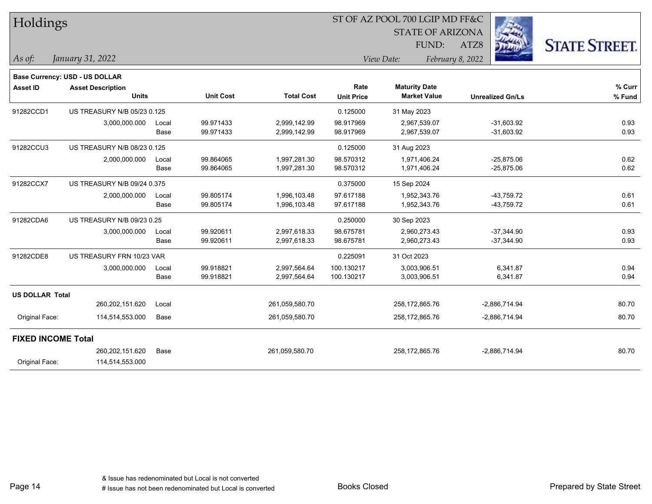| Holdings                  |                                |       |                  |                   | ST OF AZ POOL 700 LGIP MD FF&C |                         |                         |                      |  |  |
|---------------------------|--------------------------------|-------|------------------|-------------------|--------------------------------|-------------------------|-------------------------|----------------------|--|--|
|                           |                                |       |                  |                   |                                | <b>STATE OF ARIZONA</b> |                         |                      |  |  |
|                           |                                |       |                  |                   |                                | FUND:                   | ATZ8                    | <b>STATE STREET.</b> |  |  |
| As of:                    | January 31, 2022               |       |                  |                   |                                | View Date:              | February 8, 2022        |                      |  |  |
|                           | Base Currency: USD - US DOLLAR |       |                  |                   |                                |                         |                         |                      |  |  |
| <b>Asset ID</b>           | <b>Asset Description</b>       |       |                  |                   | Rate                           | <b>Maturity Date</b>    |                         | % Curr               |  |  |
|                           | <b>Units</b>                   |       | <b>Unit Cost</b> | <b>Total Cost</b> | <b>Unit Price</b>              | <b>Market Value</b>     | <b>Unrealized Gn/Ls</b> | % Fund               |  |  |
| 91282CCD1                 | US TREASURY N/B 05/23 0.125    |       |                  |                   | 0.125000                       | 31 May 2023             |                         |                      |  |  |
|                           | 3,000,000.000                  | Local | 99.971433        | 2,999,142.99      | 98.917969                      | 2,967,539.07            | $-31,603.92$            | 0.93                 |  |  |
|                           |                                | Base  | 99.971433        | 2,999,142.99      | 98.917969                      | 2,967,539.07            | $-31,603.92$            | 0.93                 |  |  |
| 91282CCU3                 | US TREASURY N/B 08/23 0.125    |       |                  |                   | 0.125000                       | 31 Aug 2023             |                         |                      |  |  |
|                           | 2,000,000.000                  | Local | 99.864065        | 1,997,281.30      | 98.570312                      | 1,971,406.24            | $-25,875.06$            | 0.62                 |  |  |
|                           |                                | Base  | 99.864065        | 1,997,281.30      | 98.570312                      | 1,971,406.24            | $-25,875.06$            | 0.62                 |  |  |
| 91282CCX7                 | US TREASURY N/B 09/24 0.375    |       |                  |                   | 0.375000                       | 15 Sep 2024             |                         |                      |  |  |
|                           | 2,000,000.000                  | Local | 99.805174        | 1,996,103.48      | 97.617188                      | 1,952,343.76            | $-43,759.72$            | 0.61                 |  |  |
|                           |                                | Base  | 99.805174        | 1,996,103.48      | 97.617188                      | 1,952,343.76            | $-43,759.72$            | 0.61                 |  |  |
| 91282CDA6                 | US TREASURY N/B 09/23 0.25     |       |                  |                   | 0.250000                       | 30 Sep 2023             |                         |                      |  |  |
|                           | 3,000,000.000                  | Local | 99.920611        | 2,997,618.33      | 98.675781                      | 2,960,273.43            | $-37,344.90$            | 0.93                 |  |  |
|                           |                                | Base  | 99.920611        | 2,997,618.33      | 98.675781                      | 2,960,273.43            | $-37,344.90$            | 0.93                 |  |  |
| 91282CDE8                 | US TREASURY FRN 10/23 VAR      |       |                  |                   | 0.225091                       | 31 Oct 2023             |                         |                      |  |  |
|                           | 3,000,000.000                  | Local | 99.918821        | 2,997,564.64      | 100.130217                     | 3,003,906.51            | 6,341.87                | 0.94                 |  |  |
|                           |                                | Base  | 99.918821        | 2,997,564.64      | 100.130217                     | 3,003,906.51            | 6,341.87                | 0.94                 |  |  |
| <b>US DOLLAR Total</b>    |                                |       |                  |                   |                                |                         |                         |                      |  |  |
|                           | 260,202,151.620                | Local |                  | 261,059,580.70    |                                | 258,172,865.76          | $-2,886,714.94$         | 80.70                |  |  |
| Original Face:            | 114,514,553.000                | Base  |                  | 261,059,580.70    |                                | 258,172,865.76          | $-2,886,714.94$         | 80.70                |  |  |
| <b>FIXED INCOME Total</b> |                                |       |                  |                   |                                |                         |                         |                      |  |  |
|                           | 260,202,151.620                | Base  |                  | 261,059,580.70    |                                | 258,172,865.76          | $-2,886,714.94$         | 80.70                |  |  |
| Original Face:            | 114,514,553.000                |       |                  |                   |                                |                         |                         |                      |  |  |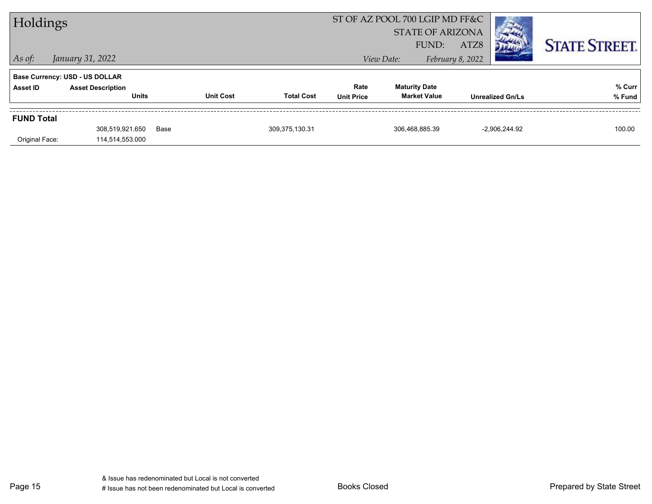| Holdings          |                                       |      | ST OF AZ POOL 700 LGIP MD FF&C |                   |                   |                      |                         |                         |                      |
|-------------------|---------------------------------------|------|--------------------------------|-------------------|-------------------|----------------------|-------------------------|-------------------------|----------------------|
|                   |                                       |      |                                |                   |                   |                      | <b>STATE OF ARIZONA</b> |                         |                      |
|                   |                                       |      |                                |                   |                   |                      | FUND:<br>ATZ8           |                         | <b>STATE STREET.</b> |
| $\vert$ As of:    | January 31, 2022                      |      |                                |                   |                   | View Date:           | February 8, 2022        |                         |                      |
|                   | <b>Base Currency: USD - US DOLLAR</b> |      |                                |                   |                   |                      |                         |                         |                      |
| Asset ID          | <b>Asset Description</b>              |      |                                |                   | Rate              | <b>Maturity Date</b> |                         |                         | % Curr               |
|                   | <b>Units</b>                          |      | <b>Unit Cost</b>               | <b>Total Cost</b> | <b>Unit Price</b> | <b>Market Value</b>  |                         | <b>Unrealized Gn/Ls</b> | % Fund               |
| <b>FUND Total</b> |                                       |      |                                |                   |                   |                      |                         |                         |                      |
|                   | 308,519,921.650                       | Base |                                | 309,375,130.31    |                   | 306.468.885.39       |                         | $-2.906.244.92$         | 100.00               |
| Original Face:    | 114,514,553.000                       |      |                                |                   |                   |                      |                         |                         |                      |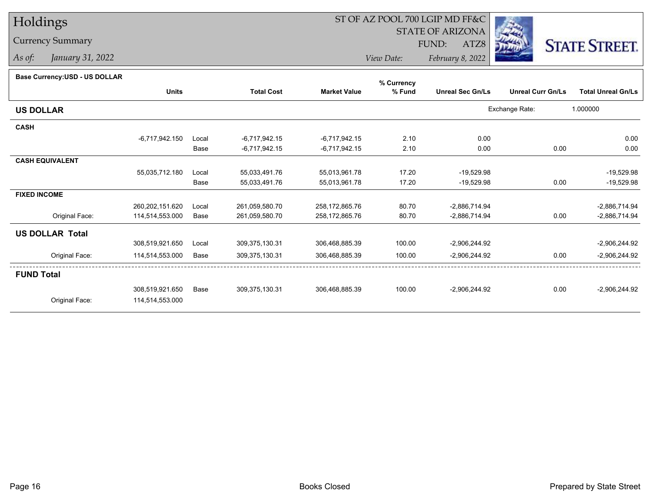# Holdings

## Currency Summary

*As of: January 31, 2022*

# ST OF AZ POOL 700 LGIP MD FF&C

STATE OF ARIZONA

ATZ8



*View Date: February 8, 2022*FUND:

### **Base Currency:USD - US DOLLAR**

|                        | % Currency      |       |                   |                     |        |                         |                          |                           |
|------------------------|-----------------|-------|-------------------|---------------------|--------|-------------------------|--------------------------|---------------------------|
|                        | <b>Units</b>    |       | <b>Total Cost</b> | <b>Market Value</b> | % Fund | <b>Unreal Sec Gn/Ls</b> | <b>Unreal Curr Gn/Ls</b> | <b>Total Unreal Gn/Ls</b> |
| <b>US DOLLAR</b>       |                 |       |                   |                     |        |                         | Exchange Rate:           | 1.000000                  |
| <b>CASH</b>            |                 |       |                   |                     |        |                         |                          |                           |
|                        | -6,717,942.150  | Local | $-6,717,942.15$   | $-6,717,942.15$     | 2.10   | 0.00                    |                          | 0.00                      |
|                        |                 | Base  | $-6,717,942.15$   | $-6,717,942.15$     | 2.10   | 0.00                    | 0.00                     | 0.00                      |
| <b>CASH EQUIVALENT</b> |                 |       |                   |                     |        |                         |                          |                           |
|                        | 55,035,712.180  | Local | 55,033,491.76     | 55,013,961.78       | 17.20  | $-19,529.98$            |                          | $-19,529.98$              |
|                        |                 | Base  | 55,033,491.76     | 55,013,961.78       | 17.20  | $-19,529.98$            | 0.00                     | $-19,529.98$              |
| <b>FIXED INCOME</b>    |                 |       |                   |                     |        |                         |                          |                           |
|                        | 260,202,151.620 | Local | 261,059,580.70    | 258,172,865.76      | 80.70  | $-2,886,714.94$         |                          | $-2,886,714.94$           |
| Original Face:         | 114,514,553.000 | Base  | 261,059,580.70    | 258,172,865.76      | 80.70  | $-2,886,714.94$         | 0.00                     | $-2,886,714.94$           |
| <b>US DOLLAR Total</b> |                 |       |                   |                     |        |                         |                          |                           |
|                        | 308,519,921.650 | Local | 309,375,130.31    | 306,468,885.39      | 100.00 | $-2,906,244.92$         |                          | $-2,906,244.92$           |
| Original Face:         | 114,514,553.000 | Base  | 309,375,130.31    | 306,468,885.39      | 100.00 | $-2,906,244.92$         | 0.00                     | $-2,906,244.92$           |
| <b>FUND Total</b>      |                 |       |                   |                     |        |                         |                          |                           |
|                        | 308,519,921.650 | Base  | 309, 375, 130. 31 | 306,468,885.39      | 100.00 | $-2,906,244.92$         | 0.00                     | $-2,906,244.92$           |
| Original Face:         | 114,514,553.000 |       |                   |                     |        |                         |                          |                           |
|                        |                 |       |                   |                     |        |                         |                          |                           |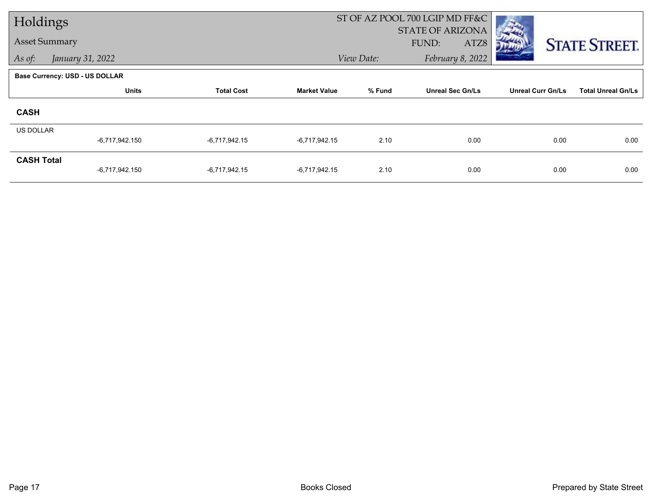|                      | Holdings                       |                   |                     |            | ST OF AZ POOL 700 LGIP MD FF&C |                          |                           |
|----------------------|--------------------------------|-------------------|---------------------|------------|--------------------------------|--------------------------|---------------------------|
|                      |                                |                   |                     |            | <b>STATE OF ARIZONA</b>        |                          |                           |
| <b>Asset Summary</b> |                                |                   |                     |            | FUND:<br>ATZ8                  |                          | <b>STATE STREET.</b>      |
| As of:               | January 31, 2022               |                   |                     | View Date: | February 8, 2022               |                          |                           |
|                      | Base Currency: USD - US DOLLAR |                   |                     |            |                                |                          |                           |
|                      | <b>Units</b>                   | <b>Total Cost</b> | <b>Market Value</b> | % Fund     | <b>Unreal Sec Gn/Ls</b>        | <b>Unreal Curr Gn/Ls</b> | <b>Total Unreal Gn/Ls</b> |
| <b>CASH</b>          |                                |                   |                     |            |                                |                          |                           |
| <b>US DOLLAR</b>     |                                |                   |                     |            |                                |                          |                           |
|                      | -6,717,942.150                 | -6,717,942.15     | $-6,717,942.15$     | 2.10       | 0.00                           | 0.00                     | 0.00                      |
| <b>CASH Total</b>    |                                |                   |                     |            |                                |                          |                           |
|                      | $-6,717,942.150$               | -6,717,942.15     | $-6,717,942.15$     | 2.10       | 0.00                           | 0.00                     | 0.00                      |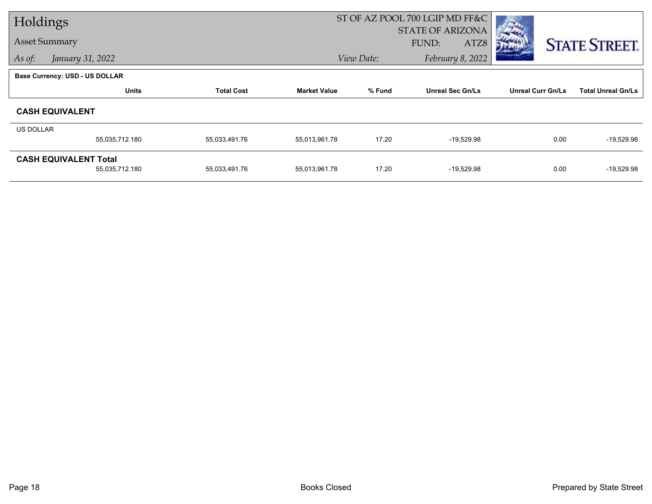| Holdings             |                                       |                   |                     |            | ST OF AZ POOL 700 LGIP MD FF&C |                          |                           |
|----------------------|---------------------------------------|-------------------|---------------------|------------|--------------------------------|--------------------------|---------------------------|
|                      |                                       |                   |                     |            | <b>STATE OF ARIZONA</b>        |                          |                           |
| <b>Asset Summary</b> |                                       |                   |                     |            | ATZ8<br>FUND:                  |                          | <b>STATE STREET.</b>      |
| As of:               | January 31, 2022                      |                   |                     | View Date: | February 8, 2022               |                          |                           |
|                      | <b>Base Currency: USD - US DOLLAR</b> |                   |                     |            |                                |                          |                           |
|                      | <b>Units</b>                          | <b>Total Cost</b> | <b>Market Value</b> | % Fund     | <b>Unreal Sec Gn/Ls</b>        | <b>Unreal Curr Gn/Ls</b> | <b>Total Unreal Gn/Ls</b> |
|                      | <b>CASH EQUIVALENT</b>                |                   |                     |            |                                |                          |                           |
| <b>US DOLLAR</b>     |                                       |                   |                     |            |                                |                          |                           |
|                      | 55,035,712.180                        | 55,033,491.76     | 55,013,961.78       | 17.20      | $-19,529.98$                   | 0.00                     | $-19,529.98$              |
|                      | <b>CASH EQUIVALENT Total</b>          |                   |                     |            |                                |                          |                           |
|                      | 55,035,712.180                        | 55,033,491.76     | 55,013,961.78       | 17.20      | $-19,529.98$                   | 0.00                     | $-19,529.98$              |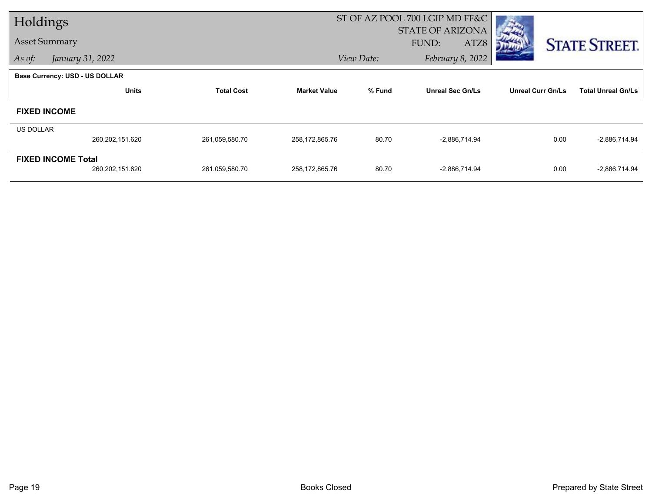|                      | Holdings                              |                   |                     |            | ST OF AZ POOL 700 LGIP MD FF&C |                          |                           |
|----------------------|---------------------------------------|-------------------|---------------------|------------|--------------------------------|--------------------------|---------------------------|
|                      |                                       |                   |                     |            | <b>STATE OF ARIZONA</b>        |                          |                           |
| <b>Asset Summary</b> |                                       |                   |                     |            | FUND:<br>ATZ8                  |                          | <b>STATE STREET.</b>      |
| As of:               | January 31, 2022                      |                   |                     | View Date: | February 8, 2022               |                          |                           |
|                      | <b>Base Currency: USD - US DOLLAR</b> |                   |                     |            |                                |                          |                           |
|                      | <b>Units</b>                          | <b>Total Cost</b> | <b>Market Value</b> | % Fund     | <b>Unreal Sec Gn/Ls</b>        | <b>Unreal Curr Gn/Ls</b> | <b>Total Unreal Gn/Ls</b> |
|                      | <b>FIXED INCOME</b>                   |                   |                     |            |                                |                          |                           |
| <b>US DOLLAR</b>     |                                       |                   |                     |            |                                |                          |                           |
|                      | 260,202,151.620                       | 261,059,580.70    | 258,172,865.76      | 80.70      | -2,886,714.94                  | 0.00                     | $-2,886,714.94$           |
|                      | <b>FIXED INCOME Total</b>             |                   |                     |            |                                |                          |                           |
|                      | 260, 202, 151.620                     | 261,059,580.70    | 258,172,865.76      | 80.70      | $-2,886,714.94$                | 0.00                     | $-2,886,714.94$           |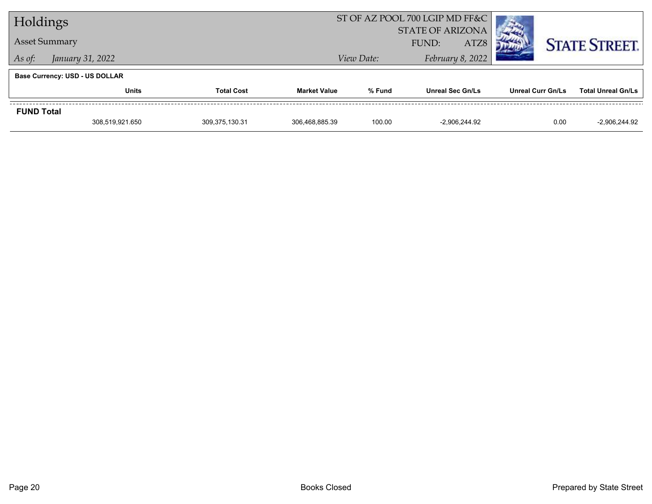| Holdings          |                                       |                   |                     | ST OF AZ POOL 700 LGIP MD FF&C |                         |                   |                           |
|-------------------|---------------------------------------|-------------------|---------------------|--------------------------------|-------------------------|-------------------|---------------------------|
|                   |                                       |                   |                     | <b>STATE OF ARIZONA</b>        |                         |                   |                           |
|                   | <b>Asset Summary</b>                  |                   |                     | ATZ8<br>FUND:                  |                         |                   | <b>STATE STREET.</b>      |
| As of:            | January 31, 2022                      |                   |                     | View Date:                     | February 8, 2022        |                   |                           |
|                   | <b>Base Currency: USD - US DOLLAR</b> |                   |                     |                                |                         |                   |                           |
|                   | <b>Units</b>                          | <b>Total Cost</b> | <b>Market Value</b> | % Fund                         | <b>Unreal Sec Gn/Ls</b> | Unreal Curr Gn/Ls | <b>Total Unreal Gn/Ls</b> |
| <b>FUND Total</b> |                                       |                   |                     |                                |                         |                   |                           |
|                   | 308,519,921.650                       | 309, 375, 130. 31 | 306,468,885.39      | 100.00                         | $-2.906.244.92$         | 0.00              | $-2,906,244.92$           |